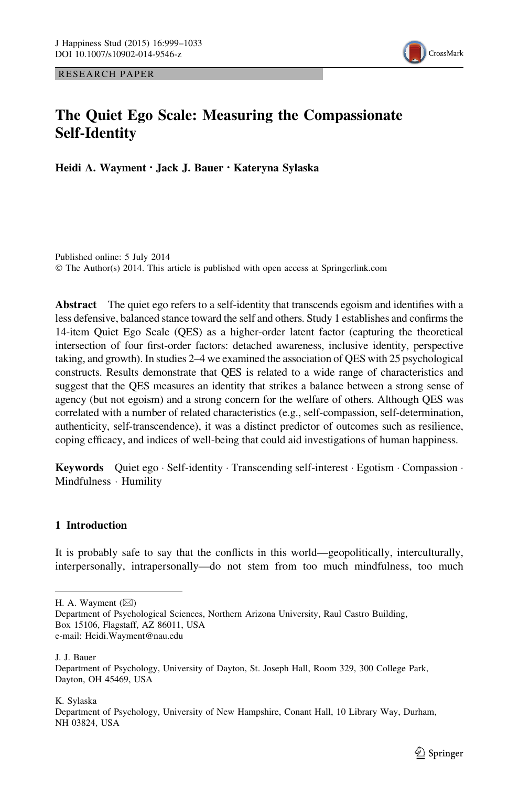RESEARCH PAPER



# The Quiet Ego Scale: Measuring the Compassionate Self-Identity

Heidi A. Wayment • Jack J. Bauer • Kateryna Sylaska

Published online: 5 July 2014 © The Author(s) 2014. This article is published with open access at Springerlink.com

Abstract The quiet ego refers to a self-identity that transcends egoism and identifies with a less defensive, balanced stance toward the self and others. Study 1 establishes and confirms the 14-item Quiet Ego Scale (QES) as a higher-order latent factor (capturing the theoretical intersection of four first-order factors: detached awareness, inclusive identity, perspective taking, and growth). In studies 2–4 we examined the association of QES with 25 psychological constructs. Results demonstrate that QES is related to a wide range of characteristics and suggest that the QES measures an identity that strikes a balance between a strong sense of agency (but not egoism) and a strong concern for the welfare of others. Although QES was correlated with a number of related characteristics (e.g., self-compassion, self-determination, authenticity, self-transcendence), it was a distinct predictor of outcomes such as resilience, coping efficacy, and indices of well-being that could aid investigations of human happiness.

Keywords Quiet ego · Self-identity · Transcending self-interest · Egotism · Compassion · Mindfulness - Humility

### 1 Introduction

It is probably safe to say that the conflicts in this world—geopolitically, interculturally, interpersonally, intrapersonally—do not stem from too much mindfulness, too much

H. A. Wayment  $(\boxtimes)$ 

J. J. Bauer

K. Sylaska

Department of Psychology, University of New Hampshire, Conant Hall, 10 Library Way, Durham, NH 03824, USA

Department of Psychological Sciences, Northern Arizona University, Raul Castro Building, Box 15106, Flagstaff, AZ 86011, USA e-mail: Heidi.Wayment@nau.edu

Department of Psychology, University of Dayton, St. Joseph Hall, Room 329, 300 College Park, Dayton, OH 45469, USA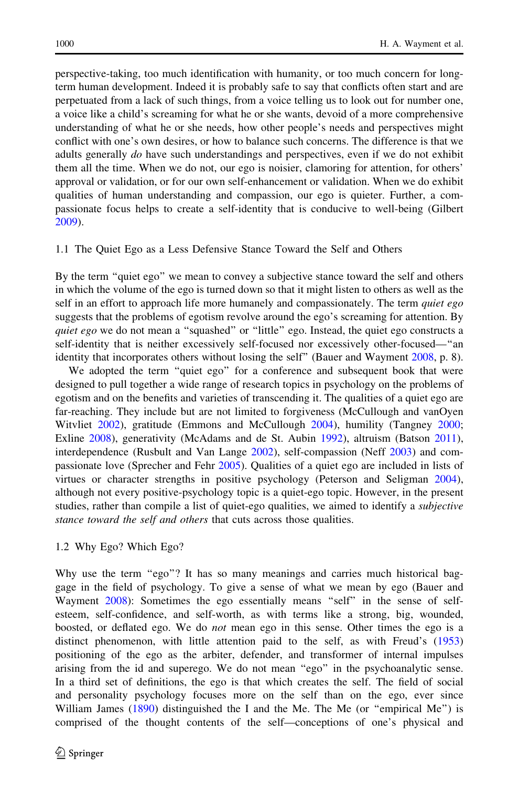perspective-taking, too much identification with humanity, or too much concern for longterm human development. Indeed it is probably safe to say that conflicts often start and are perpetuated from a lack of such things, from a voice telling us to look out for number one, a voice like a child's screaming for what he or she wants, devoid of a more comprehensive understanding of what he or she needs, how other people's needs and perspectives might conflict with one's own desires, or how to balance such concerns. The difference is that we adults generally do have such understandings and perspectives, even if we do not exhibit them all the time. When we do not, our ego is noisier, clamoring for attention, for others' approval or validation, or for our own self-enhancement or validation. When we do exhibit qualities of human understanding and compassion, our ego is quieter. Further, a compassionate focus helps to create a self-identity that is conducive to well-being (Gilbert [2009\)](#page-32-0).

#### 1.1 The Quiet Ego as a Less Defensive Stance Toward the Self and Others

By the term "quiet ego" we mean to convey a subjective stance toward the self and others in which the volume of the ego is turned down so that it might listen to others as well as the self in an effort to approach life more humanely and compassionately. The term *quiet ego* suggests that the problems of egotism revolve around the ego's screaming for attention. By quiet ego we do not mean a "squashed" or "little" ego. Instead, the quiet ego constructs a self-identity that is neither excessively self-focused nor excessively other-focused—''an identity that incorporates others without losing the self'' (Bauer and Wayment [2008,](#page-31-0) p. 8).

We adopted the term "quiet ego" for a conference and subsequent book that were designed to pull together a wide range of research topics in psychology on the problems of egotism and on the benefits and varieties of transcending it. The qualities of a quiet ego are far-reaching. They include but are not limited to forgiveness (McCullough and vanOyen Witvliet [2002\)](#page-33-0), gratitude (Emmons and McCullough [2004\)](#page-31-0), humility (Tangney [2000;](#page-33-0) Exline [2008](#page-31-0)), generativity (McAdams and de St. Aubin [1992](#page-32-0)), altruism (Batson [2011](#page-30-0)), interdependence (Rusbult and Van Lange [2002\)](#page-33-0), self-compassion (Neff [2003](#page-33-0)) and compassionate love (Sprecher and Fehr [2005\)](#page-33-0). Qualities of a quiet ego are included in lists of virtues or character strengths in positive psychology (Peterson and Seligman [2004](#page-33-0)), although not every positive-psychology topic is a quiet-ego topic. However, in the present studies, rather than compile a list of quiet-ego qualities, we aimed to identify a *subjective* stance toward the self and others that cuts across those qualities.

#### 1.2 Why Ego? Which Ego?

Why use the term "ego"? It has so many meanings and carries much historical baggage in the field of psychology. To give a sense of what we mean by ego (Bauer and Wayment [2008\)](#page-31-0): Sometimes the ego essentially means "self" in the sense of selfesteem, self-confidence, and self-worth, as with terms like a strong, big, wounded, boosted, or deflated ego. We do not mean ego in this sense. Other times the ego is a distinct phenomenon, with little attention paid to the self, as with Freud's ([1953](#page-32-0)) positioning of the ego as the arbiter, defender, and transformer of internal impulses arising from the id and superego. We do not mean ''ego'' in the psychoanalytic sense. In a third set of definitions, the ego is that which creates the self. The field of social and personality psychology focuses more on the self than on the ego, ever since William James  $(1890)$  distinguished the I and the Me. The Me (or "empirical Me") is comprised of the thought contents of the self—conceptions of one's physical and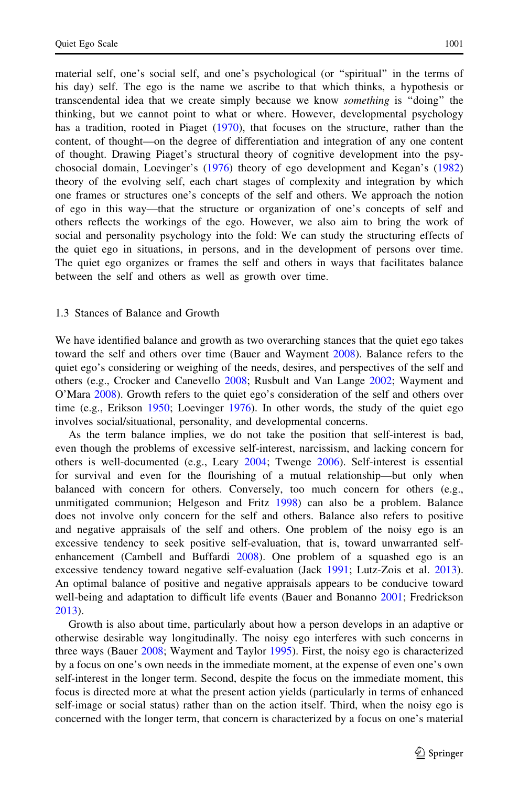material self, one's social self, and one's psychological (or ''spiritual'' in the terms of his day) self. The ego is the name we ascribe to that which thinks, a hypothesis or transcendental idea that we create simply because we know something is ''doing'' the thinking, but we cannot point to what or where. However, developmental psychology has a tradition, rooted in Piaget [\(1970](#page-33-0)), that focuses on the structure, rather than the content, of thought—on the degree of differentiation and integration of any one content of thought. Drawing Piaget's structural theory of cognitive development into the psychosocial domain, Loevinger's [\(1976](#page-32-0)) theory of ego development and Kegan's ([1982](#page-32-0)) theory of the evolving self, each chart stages of complexity and integration by which one frames or structures one's concepts of the self and others. We approach the notion of ego in this way—that the structure or organization of one's concepts of self and others reflects the workings of the ego. However, we also aim to bring the work of social and personality psychology into the fold: We can study the structuring effects of the quiet ego in situations, in persons, and in the development of persons over time. The quiet ego organizes or frames the self and others in ways that facilitates balance between the self and others as well as growth over time.

### 1.3 Stances of Balance and Growth

We have identified balance and growth as two overarching stances that the quiet ego takes toward the self and others over time (Bauer and Wayment [2008](#page-31-0)). Balance refers to the quiet ego's considering or weighing of the needs, desires, and perspectives of the self and others (e.g., Crocker and Canevello [2008](#page-31-0); Rusbult and Van Lange [2002;](#page-33-0) Wayment and O'Mara [2008\)](#page-34-0). Growth refers to the quiet ego's consideration of the self and others over time (e.g., Erikson [1950;](#page-31-0) Loevinger [1976\)](#page-32-0). In other words, the study of the quiet ego involves social/situational, personality, and developmental concerns.

As the term balance implies, we do not take the position that self-interest is bad, even though the problems of excessive self-interest, narcissism, and lacking concern for others is well-documented (e.g., Leary [2004;](#page-32-0) Twenge [2006\)](#page-33-0). Self-interest is essential for survival and even for the flourishing of a mutual relationship—but only when balanced with concern for others. Conversely, too much concern for others (e.g., unmitigated communion; Helgeson and Fritz [1998](#page-32-0)) can also be a problem. Balance does not involve only concern for the self and others. Balance also refers to positive and negative appraisals of the self and others. One problem of the noisy ego is an excessive tendency to seek positive self-evaluation, that is, toward unwarranted selfenhancement (Cambell and Buffardi [2008](#page-31-0)). One problem of a squashed ego is an excessive tendency toward negative self-evaluation (Jack [1991;](#page-32-0) Lutz-Zois et al. [2013](#page-32-0)). An optimal balance of positive and negative appraisals appears to be conducive toward well-being and adaptation to difficult life events (Bauer and Bonanno [2001](#page-31-0); Fredrickson [2013\)](#page-32-0).

Growth is also about time, particularly about how a person develops in an adaptive or otherwise desirable way longitudinally. The noisy ego interferes with such concerns in three ways (Bauer [2008;](#page-30-0) Wayment and Taylor [1995](#page-34-0)). First, the noisy ego is characterized by a focus on one's own needs in the immediate moment, at the expense of even one's own self-interest in the longer term. Second, despite the focus on the immediate moment, this focus is directed more at what the present action yields (particularly in terms of enhanced self-image or social status) rather than on the action itself. Third, when the noisy ego is concerned with the longer term, that concern is characterized by a focus on one's material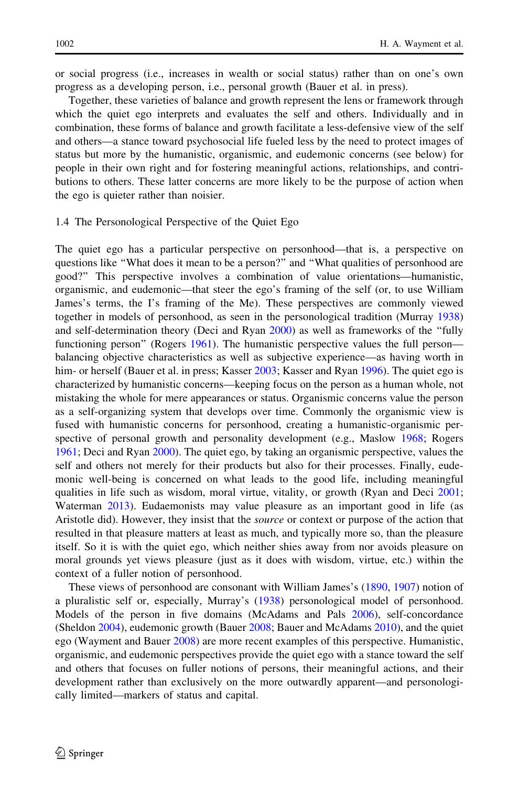or social progress (i.e., increases in wealth or social status) rather than on one's own progress as a developing person, i.e., personal growth (Bauer et al. in press).

Together, these varieties of balance and growth represent the lens or framework through which the quiet ego interprets and evaluates the self and others. Individually and in combination, these forms of balance and growth facilitate a less-defensive view of the self and others—a stance toward psychosocial life fueled less by the need to protect images of status but more by the humanistic, organismic, and eudemonic concerns (see below) for people in their own right and for fostering meaningful actions, relationships, and contributions to others. These latter concerns are more likely to be the purpose of action when the ego is quieter rather than noisier.

#### 1.4 The Personological Perspective of the Quiet Ego

The quiet ego has a particular perspective on personhood—that is, a perspective on questions like ''What does it mean to be a person?'' and ''What qualities of personhood are good?'' This perspective involves a combination of value orientations—humanistic, organismic, and eudemonic—that steer the ego's framing of the self (or, to use William James's terms, the I's framing of the Me). These perspectives are commonly viewed together in models of personhood, as seen in the personological tradition (Murray [1938](#page-33-0)) and self-determination theory (Deci and Ryan [2000](#page-31-0)) as well as frameworks of the ''fully functioning person" (Rogers [1961\)](#page-33-0). The humanistic perspective values the full person balancing objective characteristics as well as subjective experience—as having worth in him- or herself (Bauer et al. in press; Kasser [2003](#page-32-0); Kasser and Ryan [1996](#page-32-0)). The quiet ego is characterized by humanistic concerns—keeping focus on the person as a human whole, not mistaking the whole for mere appearances or status. Organismic concerns value the person as a self-organizing system that develops over time. Commonly the organismic view is fused with humanistic concerns for personhood, creating a humanistic-organismic perspective of personal growth and personality development (e.g., Maslow [1968;](#page-32-0) Rogers [1961;](#page-33-0) Deci and Ryan [2000](#page-31-0)). The quiet ego, by taking an organismic perspective, values the self and others not merely for their products but also for their processes. Finally, eudemonic well-being is concerned on what leads to the good life, including meaningful qualities in life such as wisdom, moral virtue, vitality, or growth (Ryan and Deci [2001;](#page-33-0) Waterman [2013\)](#page-33-0). Eudaemonists may value pleasure as an important good in life (as Aristotle did). However, they insist that the *source* or context or purpose of the action that resulted in that pleasure matters at least as much, and typically more so, than the pleasure itself. So it is with the quiet ego, which neither shies away from nor avoids pleasure on moral grounds yet views pleasure (just as it does with wisdom, virtue, etc.) within the context of a fuller notion of personhood.

These views of personhood are consonant with William James's [\(1890](#page-32-0), [1907](#page-32-0)) notion of a pluralistic self or, especially, Murray's ([1938](#page-33-0)) personological model of personhood. Models of the person in five domains (McAdams and Pals [2006\)](#page-32-0), self-concordance (Sheldon [2004](#page-33-0)), eudemonic growth (Bauer [2008;](#page-30-0) Bauer and McAdams [2010](#page-31-0)), and the quiet ego (Wayment and Bauer [2008\)](#page-34-0) are more recent examples of this perspective. Humanistic, organismic, and eudemonic perspectives provide the quiet ego with a stance toward the self and others that focuses on fuller notions of persons, their meaningful actions, and their development rather than exclusively on the more outwardly apparent—and personologically limited—markers of status and capital.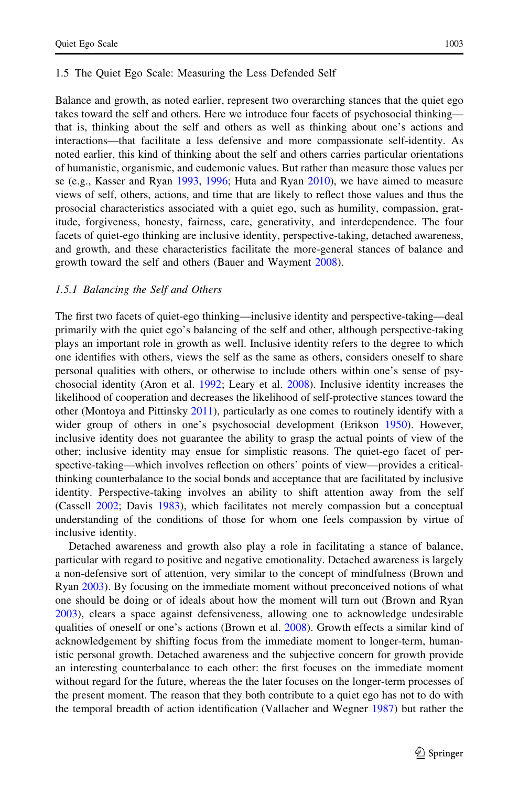#### 1.5 The Quiet Ego Scale: Measuring the Less Defended Self

Balance and growth, as noted earlier, represent two overarching stances that the quiet ego takes toward the self and others. Here we introduce four facets of psychosocial thinking that is, thinking about the self and others as well as thinking about one's actions and interactions—that facilitate a less defensive and more compassionate self-identity. As noted earlier, this kind of thinking about the self and others carries particular orientations of humanistic, organismic, and eudemonic values. But rather than measure those values per se (e.g., Kasser and Ryan [1993](#page-32-0), [1996;](#page-32-0) Huta and Ryan [2010\)](#page-32-0), we have aimed to measure views of self, others, actions, and time that are likely to reflect those values and thus the prosocial characteristics associated with a quiet ego, such as humility, compassion, gratitude, forgiveness, honesty, fairness, care, generativity, and interdependence. The four facets of quiet-ego thinking are inclusive identity, perspective-taking, detached awareness, and growth, and these characteristics facilitate the more-general stances of balance and growth toward the self and others (Bauer and Wayment [2008\)](#page-31-0).

#### 1.5.1 Balancing the Self and Others

The first two facets of quiet-ego thinking—inclusive identity and perspective-taking—deal primarily with the quiet ego's balancing of the self and other, although perspective-taking plays an important role in growth as well. Inclusive identity refers to the degree to which one identifies with others, views the self as the same as others, considers oneself to share personal qualities with others, or otherwise to include others within one's sense of psychosocial identity (Aron et al. [1992;](#page-30-0) Leary et al. [2008](#page-32-0)). Inclusive identity increases the likelihood of cooperation and decreases the likelihood of self-protective stances toward the other (Montoya and Pittinsky [2011\)](#page-33-0), particularly as one comes to routinely identify with a wider group of others in one's psychosocial development (Erikson [1950\)](#page-31-0). However, inclusive identity does not guarantee the ability to grasp the actual points of view of the other; inclusive identity may ensue for simplistic reasons. The quiet-ego facet of perspective-taking—which involves reflection on others' points of view—provides a criticalthinking counterbalance to the social bonds and acceptance that are facilitated by inclusive identity. Perspective-taking involves an ability to shift attention away from the self (Cassell [2002](#page-31-0); Davis [1983\)](#page-31-0), which facilitates not merely compassion but a conceptual understanding of the conditions of those for whom one feels compassion by virtue of inclusive identity.

Detached awareness and growth also play a role in facilitating a stance of balance, particular with regard to positive and negative emotionality. Detached awareness is largely a non-defensive sort of attention, very similar to the concept of mindfulness (Brown and Ryan [2003](#page-31-0)). By focusing on the immediate moment without preconceived notions of what one should be doing or of ideals about how the moment will turn out (Brown and Ryan [2003\)](#page-31-0), clears a space against defensiveness, allowing one to acknowledge undesirable qualities of oneself or one's actions (Brown et al. [2008\)](#page-31-0). Growth effects a similar kind of acknowledgement by shifting focus from the immediate moment to longer-term, humanistic personal growth. Detached awareness and the subjective concern for growth provide an interesting counterbalance to each other: the first focuses on the immediate moment without regard for the future, whereas the the later focuses on the longer-term processes of the present moment. The reason that they both contribute to a quiet ego has not to do with the temporal breadth of action identification (Vallacher and Wegner [1987\)](#page-33-0) but rather the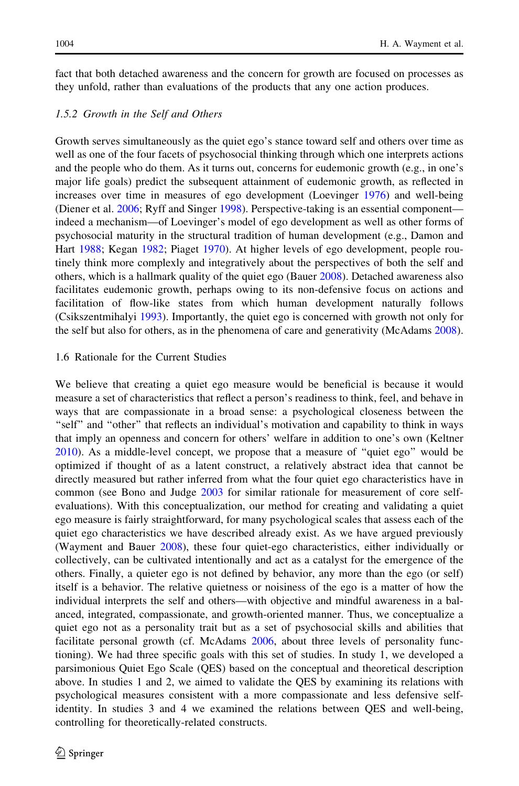fact that both detached awareness and the concern for growth are focused on processes as they unfold, rather than evaluations of the products that any one action produces.

#### 1.5.2 Growth in the Self and Others

Growth serves simultaneously as the quiet ego's stance toward self and others over time as well as one of the four facets of psychosocial thinking through which one interprets actions and the people who do them. As it turns out, concerns for eudemonic growth (e.g., in one's major life goals) predict the subsequent attainment of eudemonic growth, as reflected in increases over time in measures of ego development (Loevinger [1976\)](#page-32-0) and well-being (Diener et al. [2006;](#page-31-0) Ryff and Singer [1998\)](#page-33-0). Perspective-taking is an essential component indeed a mechanism—of Loevinger's model of ego development as well as other forms of psychosocial maturity in the structural tradition of human development (e.g., Damon and Hart [1988;](#page-31-0) Kegan [1982;](#page-32-0) Piaget [1970\)](#page-33-0). At higher levels of ego development, people routinely think more complexly and integratively about the perspectives of both the self and others, which is a hallmark quality of the quiet ego (Bauer [2008\)](#page-30-0). Detached awareness also facilitates eudemonic growth, perhaps owing to its non-defensive focus on actions and facilitation of flow-like states from which human development naturally follows (Csikszentmihalyi [1993](#page-31-0)). Importantly, the quiet ego is concerned with growth not only for the self but also for others, as in the phenomena of care and generativity (McAdams [2008](#page-32-0)).

#### 1.6 Rationale for the Current Studies

We believe that creating a quiet ego measure would be beneficial is because it would measure a set of characteristics that reflect a person's readiness to think, feel, and behave in ways that are compassionate in a broad sense: a psychological closeness between the ''self'' and ''other'' that reflects an individual's motivation and capability to think in ways that imply an openness and concern for others' welfare in addition to one's own (Keltner [2010\)](#page-32-0). As a middle-level concept, we propose that a measure of ''quiet ego'' would be optimized if thought of as a latent construct, a relatively abstract idea that cannot be directly measured but rather inferred from what the four quiet ego characteristics have in common (see Bono and Judge [2003](#page-31-0) for similar rationale for measurement of core selfevaluations). With this conceptualization, our method for creating and validating a quiet ego measure is fairly straightforward, for many psychological scales that assess each of the quiet ego characteristics we have described already exist. As we have argued previously (Wayment and Bauer [2008\)](#page-34-0), these four quiet-ego characteristics, either individually or collectively, can be cultivated intentionally and act as a catalyst for the emergence of the others. Finally, a quieter ego is not defined by behavior, any more than the ego (or self) itself is a behavior. The relative quietness or noisiness of the ego is a matter of how the individual interprets the self and others—with objective and mindful awareness in a balanced, integrated, compassionate, and growth-oriented manner. Thus, we conceptualize a quiet ego not as a personality trait but as a set of psychosocial skills and abilities that facilitate personal growth (cf. McAdams [2006,](#page-32-0) about three levels of personality functioning). We had three specific goals with this set of studies. In study 1, we developed a parsimonious Quiet Ego Scale (QES) based on the conceptual and theoretical description above. In studies 1 and 2, we aimed to validate the QES by examining its relations with psychological measures consistent with a more compassionate and less defensive selfidentity. In studies 3 and 4 we examined the relations between QES and well-being, controlling for theoretically-related constructs.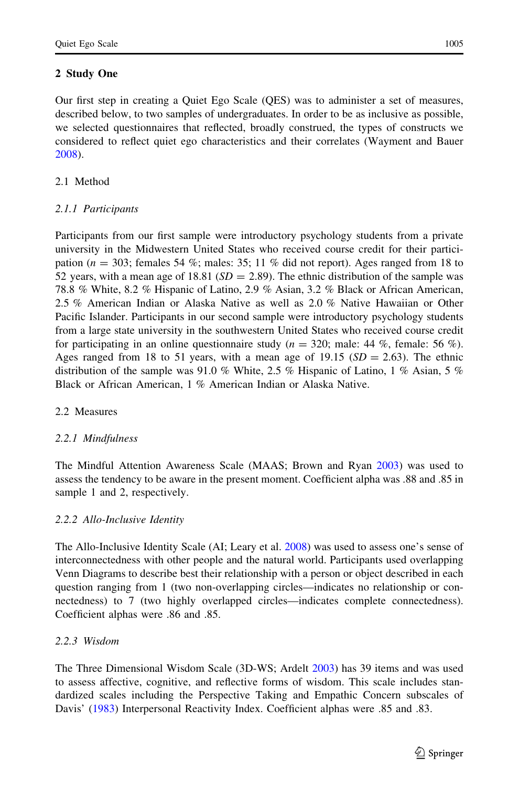Our first step in creating a Quiet Ego Scale (QES) was to administer a set of measures, described below, to two samples of undergraduates. In order to be as inclusive as possible, we selected questionnaires that reflected, broadly construed, the types of constructs we considered to reflect quiet ego characteristics and their correlates (Wayment and Bauer [2008\)](#page-34-0).

## 2.1 Method

## 2.1.1 Participants

Participants from our first sample were introductory psychology students from a private university in the Midwestern United States who received course credit for their participation ( $n = 303$ ; females 54 %; males: 35; 11 % did not report). Ages ranged from 18 to 52 years, with a mean age of 18.81 ( $SD = 2.89$ ). The ethnic distribution of the sample was 78.8 % White, 8.2 % Hispanic of Latino, 2.9 % Asian, 3.2 % Black or African American, 2.5 % American Indian or Alaska Native as well as 2.0 % Native Hawaiian or Other Pacific Islander. Participants in our second sample were introductory psychology students from a large state university in the southwestern United States who received course credit for participating in an online questionnaire study ( $n = 320$ ; male: 44 %, female: 56 %). Ages ranged from 18 to 51 years, with a mean age of 19.15 ( $SD = 2.63$ ). The ethnic distribution of the sample was 91.0 % White, 2.5 % Hispanic of Latino, 1 % Asian, 5 % Black or African American, 1 % American Indian or Alaska Native.

## 2.2 Measures

## 2.2.1 Mindfulness

The Mindful Attention Awareness Scale (MAAS; Brown and Ryan [2003](#page-31-0)) was used to assess the tendency to be aware in the present moment. Coefficient alpha was .88 and .85 in sample 1 and 2, respectively.

## 2.2.2 Allo-Inclusive Identity

The Allo-Inclusive Identity Scale (AI; Leary et al. [2008](#page-32-0)) was used to assess one's sense of interconnectedness with other people and the natural world. Participants used overlapping Venn Diagrams to describe best their relationship with a person or object described in each question ranging from 1 (two non-overlapping circles—indicates no relationship or connectedness) to 7 (two highly overlapped circles—indicates complete connectedness). Coefficient alphas were .86 and .85.

## 2.2.3 Wisdom

The Three Dimensional Wisdom Scale (3D-WS; Ardelt [2003](#page-30-0)) has 39 items and was used to assess affective, cognitive, and reflective forms of wisdom. This scale includes standardized scales including the Perspective Taking and Empathic Concern subscales of Davis' [\(1983](#page-31-0)) Interpersonal Reactivity Index. Coefficient alphas were .85 and .83.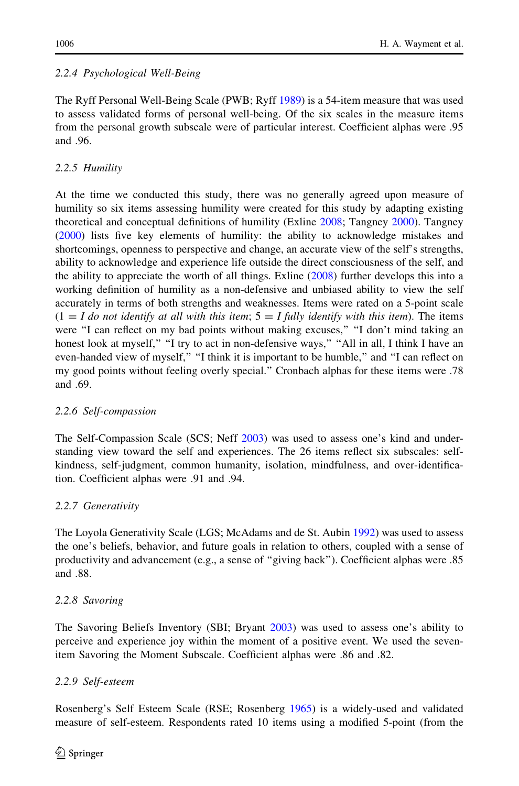## 2.2.4 Psychological Well-Being

The Ryff Personal Well-Being Scale (PWB; Ryff [1989](#page-33-0)) is a 54-item measure that was used to assess validated forms of personal well-being. Of the six scales in the measure items from the personal growth subscale were of particular interest. Coefficient alphas were .95 and .96.

## 2.2.5 Humility

At the time we conducted this study, there was no generally agreed upon measure of humility so six items assessing humility were created for this study by adapting existing theoretical and conceptual definitions of humility (Exline [2008](#page-31-0); Tangney [2000\)](#page-33-0). Tangney ([2000\)](#page-33-0) lists five key elements of humility: the ability to acknowledge mistakes and shortcomings, openness to perspective and change, an accurate view of the self's strengths, ability to acknowledge and experience life outside the direct consciousness of the self, and the ability to appreciate the worth of all things. Exline ([2008](#page-31-0)) further develops this into a working definition of humility as a non-defensive and unbiased ability to view the self accurately in terms of both strengths and weaknesses. Items were rated on a 5-point scale  $(1 = I$  do not identify at all with this item;  $5 = I$  fully identify with this item). The items were "I can reflect on my bad points without making excuses," "I don't mind taking an honest look at myself," "I try to act in non-defensive ways," "All in all, I think I have an even-handed view of myself," "I think it is important to be humble," and "I can reflect on my good points without feeling overly special.'' Cronbach alphas for these items were .78 and .69.

## 2.2.6 Self-compassion

The Self-Compassion Scale (SCS; Neff [2003](#page-33-0)) was used to assess one's kind and understanding view toward the self and experiences. The 26 items reflect six subscales: selfkindness, self-judgment, common humanity, isolation, mindfulness, and over-identification. Coefficient alphas were .91 and .94.

## 2.2.7 Generativity

The Loyola Generativity Scale (LGS; McAdams and de St. Aubin [1992\)](#page-32-0) was used to assess the one's beliefs, behavior, and future goals in relation to others, coupled with a sense of productivity and advancement (e.g., a sense of ''giving back''). Coefficient alphas were .85 and .88.

## 2.2.8 Savoring

The Savoring Beliefs Inventory (SBI; Bryant [2003\)](#page-31-0) was used to assess one's ability to perceive and experience joy within the moment of a positive event. We used the sevenitem Savoring the Moment Subscale. Coefficient alphas were .86 and .82.

## 2.2.9 Self-esteem

Rosenberg's Self Esteem Scale (RSE; Rosenberg [1965](#page-33-0)) is a widely-used and validated measure of self-esteem. Respondents rated 10 items using a modified 5-point (from the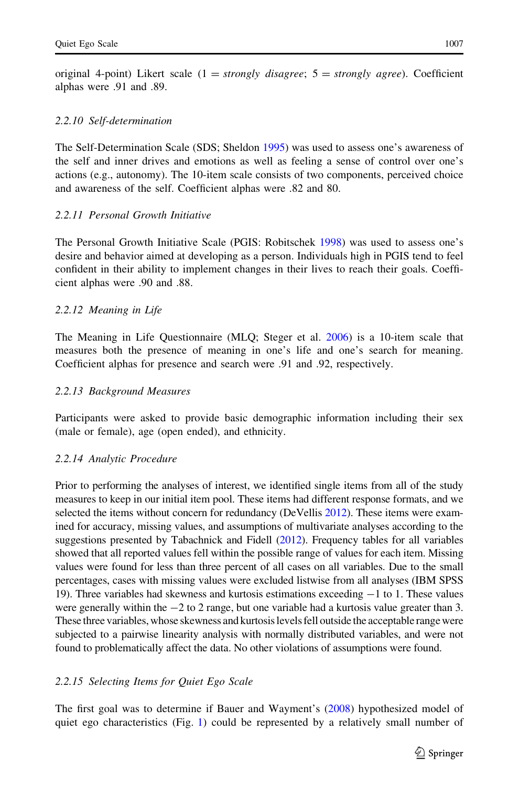original 4-point) Likert scale  $(1 = strongly \, disagree; 5 = strongly \, agree)$ . Coefficient alphas were .91 and .89.

#### 2.2.10 Self-determination

The Self-Determination Scale (SDS; Sheldon [1995](#page-33-0)) was used to assess one's awareness of the self and inner drives and emotions as well as feeling a sense of control over one's actions (e.g., autonomy). The 10-item scale consists of two components, perceived choice and awareness of the self. Coefficient alphas were .82 and 80.

#### 2.2.11 Personal Growth Initiative

The Personal Growth Initiative Scale (PGIS: Robitschek [1998\)](#page-33-0) was used to assess one's desire and behavior aimed at developing as a person. Individuals high in PGIS tend to feel confident in their ability to implement changes in their lives to reach their goals. Coefficient alphas were .90 and .88.

#### 2.2.12 Meaning in Life

The Meaning in Life Questionnaire (MLQ; Steger et al. [2006](#page-33-0)) is a 10-item scale that measures both the presence of meaning in one's life and one's search for meaning. Coefficient alphas for presence and search were .91 and .92, respectively.

#### 2.2.13 Background Measures

Participants were asked to provide basic demographic information including their sex (male or female), age (open ended), and ethnicity.

#### 2.2.14 Analytic Procedure

Prior to performing the analyses of interest, we identified single items from all of the study measures to keep in our initial item pool. These items had different response formats, and we selected the items without concern for redundancy (DeVellis [2012\)](#page-31-0). These items were examined for accuracy, missing values, and assumptions of multivariate analyses according to the suggestions presented by Tabachnick and Fidell [\(2012\)](#page-33-0). Frequency tables for all variables showed that all reported values fell within the possible range of values for each item. Missing values were found for less than three percent of all cases on all variables. Due to the small percentages, cases with missing values were excluded listwise from all analyses (IBM SPSS 19). Three variables had skewness and kurtosis estimations exceeding  $-1$  to 1. These values were generally within the  $-2$  to 2 range, but one variable had a kurtosis value greater than 3. These three variables, whose skewness and kurtosis levels fell outside the acceptable range were subjected to a pairwise linearity analysis with normally distributed variables, and were not found to problematically affect the data. No other violations of assumptions were found.

#### 2.2.15 Selecting Items for Quiet Ego Scale

The first goal was to determine if Bauer and Wayment's ([2008\)](#page-31-0) hypothesized model of quiet ego characteristics (Fig. [1](#page-9-0)) could be represented by a relatively small number of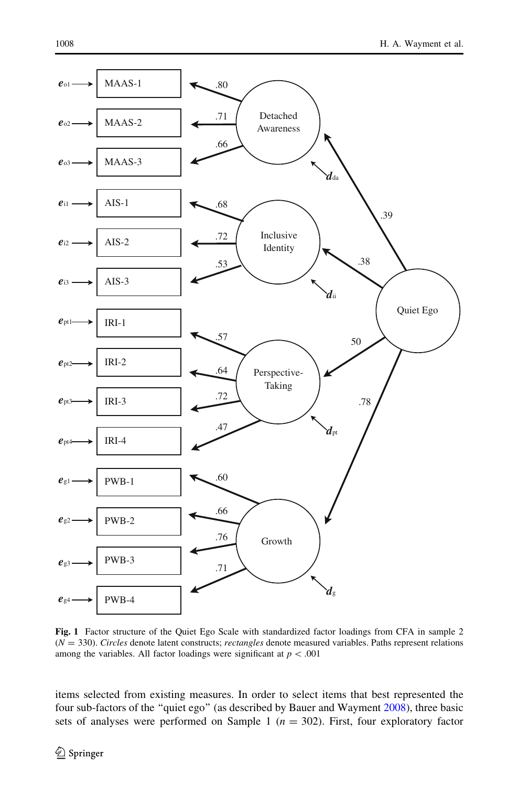<span id="page-9-0"></span>

Fig. 1 Factor structure of the Quiet Ego Scale with standardized factor loadings from CFA in sample 2  $(N = 330)$ . Circles denote latent constructs; rectangles denote measured variables. Paths represent relations among the variables. All factor loadings were significant at  $p < .001$ 

items selected from existing measures. In order to select items that best represented the four sub-factors of the "quiet ego" (as described by Bauer and Wayment [2008\)](#page-31-0), three basic sets of analyses were performed on Sample 1 ( $n = 302$ ). First, four exploratory factor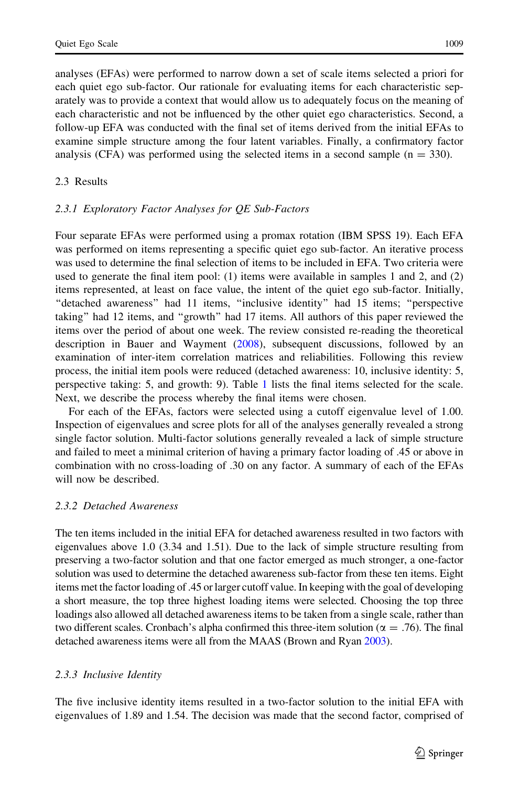analyses (EFAs) were performed to narrow down a set of scale items selected a priori for each quiet ego sub-factor. Our rationale for evaluating items for each characteristic separately was to provide a context that would allow us to adequately focus on the meaning of each characteristic and not be influenced by the other quiet ego characteristics. Second, a follow-up EFA was conducted with the final set of items derived from the initial EFAs to examine simple structure among the four latent variables. Finally, a confirmatory factor analysis (CFA) was performed using the selected items in a second sample  $(n = 330)$ .

#### 2.3 Results

#### 2.3.1 Exploratory Factor Analyses for QE Sub-Factors

Four separate EFAs were performed using a promax rotation (IBM SPSS 19). Each EFA was performed on items representing a specific quiet ego sub-factor. An iterative process was used to determine the final selection of items to be included in EFA. Two criteria were used to generate the final item pool: (1) items were available in samples 1 and 2, and (2) items represented, at least on face value, the intent of the quiet ego sub-factor. Initially, "detached awareness" had 11 items, "inclusive identity" had 15 items; "perspective taking'' had 12 items, and ''growth'' had 17 items. All authors of this paper reviewed the items over the period of about one week. The review consisted re-reading the theoretical description in Bauer and Wayment ([2008\)](#page-31-0), subsequent discussions, followed by an examination of inter-item correlation matrices and reliabilities. Following this review process, the initial item pools were reduced (detached awareness: 10, inclusive identity: 5, perspective taking: 5, and growth: 9). Table [1](#page-11-0) lists the final items selected for the scale. Next, we describe the process whereby the final items were chosen.

For each of the EFAs, factors were selected using a cutoff eigenvalue level of 1.00. Inspection of eigenvalues and scree plots for all of the analyses generally revealed a strong single factor solution. Multi-factor solutions generally revealed a lack of simple structure and failed to meet a minimal criterion of having a primary factor loading of .45 or above in combination with no cross-loading of .30 on any factor. A summary of each of the EFAs will now be described.

### 2.3.2 Detached Awareness

The ten items included in the initial EFA for detached awareness resulted in two factors with eigenvalues above 1.0 (3.34 and 1.51). Due to the lack of simple structure resulting from preserving a two-factor solution and that one factor emerged as much stronger, a one-factor solution was used to determine the detached awareness sub-factor from these ten items. Eight items met the factor loading of .45 or larger cutoff value. In keeping with the goal of developing a short measure, the top three highest loading items were selected. Choosing the top three loadings also allowed all detached awareness items to be taken from a single scale, rather than two different scales. Cronbach's alpha confirmed this three-item solution ( $\alpha = .76$ ). The final detached awareness items were all from the MAAS (Brown and Ryan [2003](#page-31-0)).

### 2.3.3 Inclusive Identity

The five inclusive identity items resulted in a two-factor solution to the initial EFA with eigenvalues of 1.89 and 1.54. The decision was made that the second factor, comprised of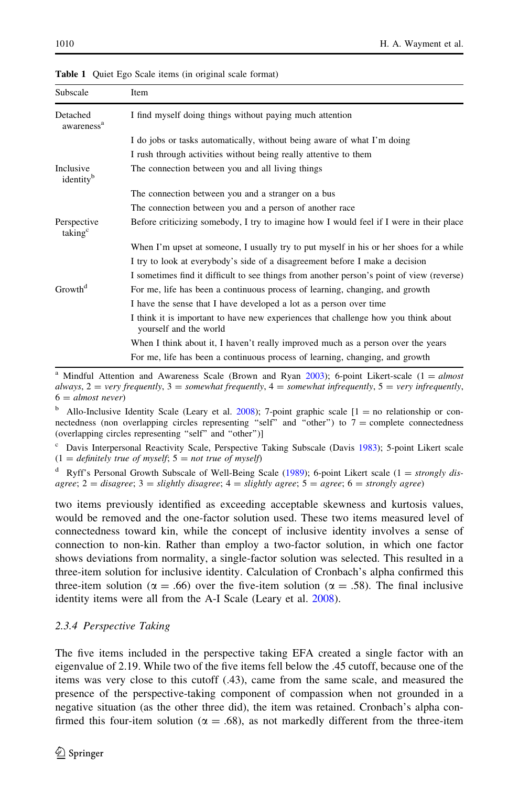| Subscale                           | Item                                                                                                         |
|------------------------------------|--------------------------------------------------------------------------------------------------------------|
| Detached<br>awareness <sup>a</sup> | I find myself doing things without paying much attention                                                     |
|                                    | I do jobs or tasks automatically, without being aware of what I'm doing                                      |
|                                    | I rush through activities without being really attentive to them                                             |
| Inclusive<br>identity <sup>b</sup> | The connection between you and all living things                                                             |
|                                    | The connection between you and a stranger on a bus                                                           |
|                                    | The connection between you and a person of another race                                                      |
| Perspective<br>taking <sup>c</sup> | Before criticizing somebody, I try to imagine how I would feel if I were in their place                      |
|                                    | When I'm upset at someone, I usually try to put myself in his or her shoes for a while                       |
|                                    | I try to look at everybody's side of a disagreement before I make a decision                                 |
|                                    | I sometimes find it difficult to see things from another person's point of view (reverse)                    |
| Growth <sup>d</sup>                | For me, life has been a continuous process of learning, changing, and growth                                 |
|                                    | I have the sense that I have developed a lot as a person over time                                           |
|                                    | I think it is important to have new experiences that challenge how you think about<br>yourself and the world |
|                                    | When I think about it, I haven't really improved much as a person over the years                             |
|                                    | For me, life has been a continuous process of learning, changing, and growth                                 |

<span id="page-11-0"></span>Table 1 Ouiet Ego Scale items (in original scale format)

<sup>a</sup> Mindful Attention and Awareness Scale (Brown and Ryan [2003\)](#page-31-0); 6-point Likert-scale ( $1 = almost$ always,  $2 =$  very frequently,  $3 =$  somewhat frequently,  $4 =$  somewhat infrequently,  $5 =$  very infrequently,  $6 = almost never)$ 

<sup>b</sup> Allo-Inclusive Identity Scale (Leary et al. [2008](#page-32-0)); 7-point graphic scale  $[1 =$  no relationship or connectedness (non overlapping circles representing "self" and "other") to  $7 =$  complete connectedness (overlapping circles representing ''self'' and ''other'')]

Davis Interpersonal Reactivity Scale, Perspective Taking Subscale (Davis [1983](#page-31-0)); 5-point Likert scale  $(1 = \text{definitely true of myself}; 5 = \text{not true of myself})$ 

Ryff's Personal Growth Subscale of Well-Being Scale ([1989\)](#page-33-0); 6-point Likert scale (1 = strongly disagree;  $2 =$  disagree;  $3 =$  slightly disagree;  $4 =$  slightly agree;  $5 =$  agree;  $6 =$  strongly agree)

two items previously identified as exceeding acceptable skewness and kurtosis values, would be removed and the one-factor solution used. These two items measured level of connectedness toward kin, while the concept of inclusive identity involves a sense of connection to non-kin. Rather than employ a two-factor solution, in which one factor shows deviations from normality, a single-factor solution was selected. This resulted in a three-item solution for inclusive identity. Calculation of Cronbach's alpha confirmed this three-item solution ( $\alpha = .66$ ) over the five-item solution ( $\alpha = .58$ ). The final inclusive identity items were all from the A-I Scale (Leary et al. [2008](#page-32-0)).

### 2.3.4 Perspective Taking

The five items included in the perspective taking EFA created a single factor with an eigenvalue of 2.19. While two of the five items fell below the .45 cutoff, because one of the items was very close to this cutoff (.43), came from the same scale, and measured the presence of the perspective-taking component of compassion when not grounded in a negative situation (as the other three did), the item was retained. Cronbach's alpha confirmed this four-item solution ( $\alpha = .68$ ), as not markedly different from the three-item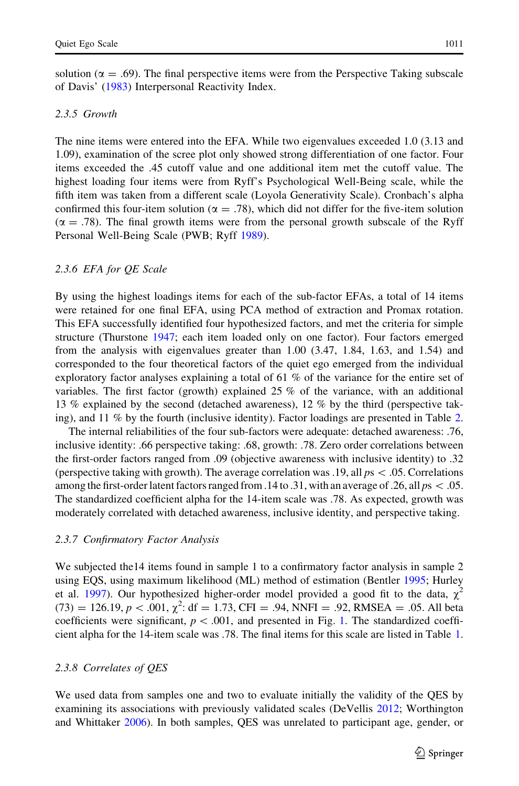solution ( $\alpha = .69$ ). The final perspective items were from the Perspective Taking subscale of Davis' [\(1983](#page-31-0)) Interpersonal Reactivity Index.

### 2.3.5 Growth

The nine items were entered into the EFA. While two eigenvalues exceeded 1.0 (3.13 and 1.09), examination of the scree plot only showed strong differentiation of one factor. Four items exceeded the .45 cutoff value and one additional item met the cutoff value. The highest loading four items were from Ryff's Psychological Well-Being scale, while the fifth item was taken from a different scale (Loyola Generativity Scale). Cronbach's alpha confirmed this four-item solution ( $\alpha = .78$ ), which did not differ for the five-item solution  $(\alpha = .78)$ . The final growth items were from the personal growth subscale of the Ryff Personal Well-Being Scale (PWB; Ryff [1989\)](#page-33-0).

### 2.3.6 EFA for QE Scale

By using the highest loadings items for each of the sub-factor EFAs, a total of 14 items were retained for one final EFA, using PCA method of extraction and Promax rotation. This EFA successfully identified four hypothesized factors, and met the criteria for simple structure (Thurstone [1947](#page-33-0); each item loaded only on one factor). Four factors emerged from the analysis with eigenvalues greater than 1.00 (3.47, 1.84, 1.63, and 1.54) and corresponded to the four theoretical factors of the quiet ego emerged from the individual exploratory factor analyses explaining a total of 61 % of the variance for the entire set of variables. The first factor (growth) explained 25 % of the variance, with an additional 13 % explained by the second (detached awareness), 12 % by the third (perspective taking), and 11 % by the fourth (inclusive identity). Factor loadings are presented in Table [2](#page-13-0).

The internal reliabilities of the four sub-factors were adequate: detached awareness: .76, inclusive identity: .66 perspective taking: .68, growth: .78. Zero order correlations between the first-order factors ranged from .09 (objective awareness with inclusive identity) to .32 (perspective taking with growth). The average correlation was .19, all  $ps\ < .05$ . Correlations among the first-order latent factors ranged from .14 to .31, with an average of .26, all  $ps\lt 0.05$ . The standardized coefficient alpha for the 14-item scale was .78. As expected, growth was moderately correlated with detached awareness, inclusive identity, and perspective taking.

#### 2.3.7 Confirmatory Factor Analysis

We subjected the 14 items found in sample 1 to a confirmatory factor analysis in sample 2 using EQS, using maximum likelihood (ML) method of estimation (Bentler [1995;](#page-31-0) Hurley et al. [1997](#page-32-0)). Our hypothesized higher-order model provided a good fit to the data,  $\chi^2$  $(73) = 126.19, p < .001, \chi^2$ : df = 1.73, CFI = .94, NNFI = .92, RMSEA = .05. All beta coefficients were significant,  $p \lt 0.001$  $p \lt 0.001$ , and presented in Fig. 1. The standardized coefficient alpha for the 14-item scale was .78. The final items for this scale are listed in Table [1](#page-11-0).

### 2.3.8 Correlates of QES

We used data from samples one and two to evaluate initially the validity of the QES by examining its associations with previously validated scales (DeVellis [2012](#page-31-0); Worthington and Whittaker [2006](#page-34-0)). In both samples, QES was unrelated to participant age, gender, or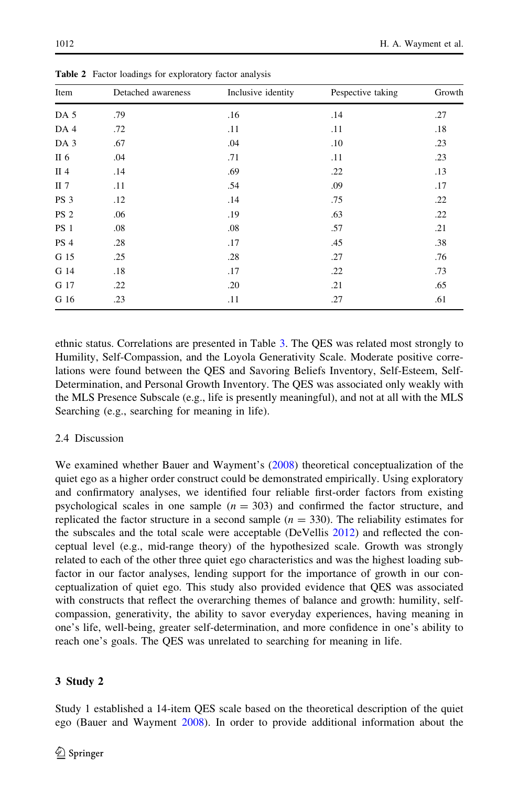| Growth |
|--------|
| .27    |
| .18    |
| .23    |
| .23    |
| .13    |
| .17    |
| .22    |
| .22    |
| .21    |
| .38    |
| .76    |
| .73    |
| .65    |
| .61    |
|        |

<span id="page-13-0"></span>Table 2 Factor loadings for exploratory factor analysis

ethnic status. Correlations are presented in Table [3.](#page-14-0) The QES was related most strongly to Humility, Self-Compassion, and the Loyola Generativity Scale. Moderate positive correlations were found between the QES and Savoring Beliefs Inventory, Self-Esteem, Self-Determination, and Personal Growth Inventory. The QES was associated only weakly with the MLS Presence Subscale (e.g., life is presently meaningful), and not at all with the MLS Searching (e.g., searching for meaning in life).

### 2.4 Discussion

We examined whether Bauer and Wayment's ([2008](#page-31-0)) theoretical conceptualization of the quiet ego as a higher order construct could be demonstrated empirically. Using exploratory and confirmatory analyses, we identified four reliable first-order factors from existing psychological scales in one sample  $(n = 303)$  and confirmed the factor structure, and replicated the factor structure in a second sample  $(n = 330)$ . The reliability estimates for the subscales and the total scale were acceptable (DeVellis [2012\)](#page-31-0) and reflected the conceptual level (e.g., mid-range theory) of the hypothesized scale. Growth was strongly related to each of the other three quiet ego characteristics and was the highest loading subfactor in our factor analyses, lending support for the importance of growth in our conceptualization of quiet ego. This study also provided evidence that QES was associated with constructs that reflect the overarching themes of balance and growth: humility, selfcompassion, generativity, the ability to savor everyday experiences, having meaning in one's life, well-being, greater self-determination, and more confidence in one's ability to reach one's goals. The QES was unrelated to searching for meaning in life.

### 3 Study 2

Study 1 established a 14-item QES scale based on the theoretical description of the quiet ego (Bauer and Wayment [2008\)](#page-31-0). In order to provide additional information about the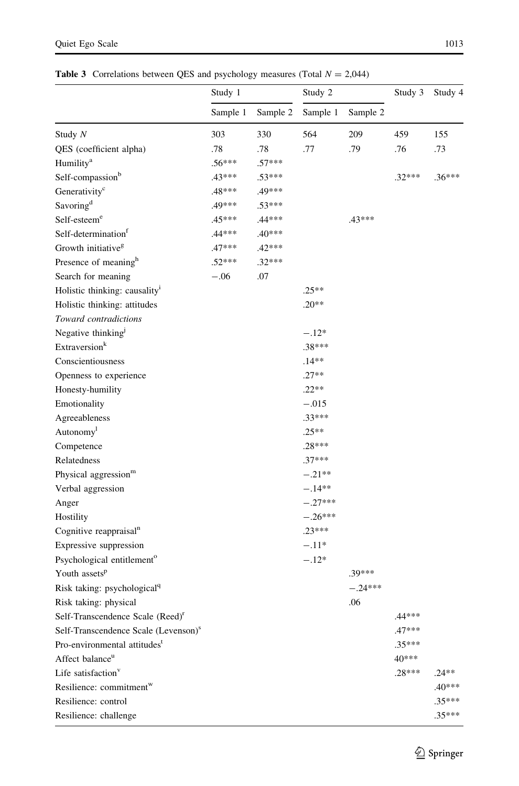<span id="page-14-0"></span>**Table 3** Correlations between QES and psychology measures (Total  $N = 2,044$ )

| Sample 1<br>Sample 2<br>Sample 1<br>Sample 2<br>330<br>564<br>209<br>459<br>Study $N$<br>303<br>155<br>.78<br>.78<br>.77<br>.79<br>QES (coefficient alpha)<br>.76<br>.73<br>Humility <sup>a</sup><br>$.56***$<br>$.57***$<br>Self-compassion <sup>b</sup><br>$.32***$<br>$.43***$<br>$.53***$<br>Generativity <sup>c</sup><br>$.48***$<br>.49*** | Study 1 |  | Study 2 |  | Study 3 | Study 4  |
|--------------------------------------------------------------------------------------------------------------------------------------------------------------------------------------------------------------------------------------------------------------------------------------------------------------------------------------------------|---------|--|---------|--|---------|----------|
|                                                                                                                                                                                                                                                                                                                                                  |         |  |         |  |         |          |
|                                                                                                                                                                                                                                                                                                                                                  |         |  |         |  |         |          |
|                                                                                                                                                                                                                                                                                                                                                  |         |  |         |  |         |          |
|                                                                                                                                                                                                                                                                                                                                                  |         |  |         |  |         |          |
|                                                                                                                                                                                                                                                                                                                                                  |         |  |         |  |         | $.36***$ |
|                                                                                                                                                                                                                                                                                                                                                  |         |  |         |  |         |          |
| Savoring <sup>d</sup><br>.49***<br>$.53***$                                                                                                                                                                                                                                                                                                      |         |  |         |  |         |          |
| Self-esteem <sup>e</sup><br>$.43***$<br>$.45***$<br>.44***                                                                                                                                                                                                                                                                                       |         |  |         |  |         |          |
| Self-determination <sup>f</sup><br>$.40***$<br>$.44***$                                                                                                                                                                                                                                                                                          |         |  |         |  |         |          |
| Growth initiative <sup>g</sup><br>$.42***$<br>$.47***$                                                                                                                                                                                                                                                                                           |         |  |         |  |         |          |
| Presence of meaning <sup>h</sup><br>$.52***$<br>$.32***$                                                                                                                                                                                                                                                                                         |         |  |         |  |         |          |
| .07<br>Search for meaning<br>$-.06$                                                                                                                                                                                                                                                                                                              |         |  |         |  |         |          |
| Holistic thinking: causality <sup>i</sup><br>$.25**$                                                                                                                                                                                                                                                                                             |         |  |         |  |         |          |
| Holistic thinking: attitudes<br>$.20**$                                                                                                                                                                                                                                                                                                          |         |  |         |  |         |          |
| Toward contradictions                                                                                                                                                                                                                                                                                                                            |         |  |         |  |         |          |
| Negative thinking <sup>1</sup><br>$-.12*$                                                                                                                                                                                                                                                                                                        |         |  |         |  |         |          |
| Extraversion <sup>k</sup><br>$.38***$                                                                                                                                                                                                                                                                                                            |         |  |         |  |         |          |
| Conscientiousness<br>.14**                                                                                                                                                                                                                                                                                                                       |         |  |         |  |         |          |
| $.27**$<br>Openness to experience                                                                                                                                                                                                                                                                                                                |         |  |         |  |         |          |
| $.22**$<br>Honesty-humility                                                                                                                                                                                                                                                                                                                      |         |  |         |  |         |          |
| Emotionality<br>$-.015$                                                                                                                                                                                                                                                                                                                          |         |  |         |  |         |          |
| $.33***$<br>Agreeableness                                                                                                                                                                                                                                                                                                                        |         |  |         |  |         |          |
| Autonomy <sup>1</sup><br>$.25**$                                                                                                                                                                                                                                                                                                                 |         |  |         |  |         |          |
| $.28***$<br>Competence                                                                                                                                                                                                                                                                                                                           |         |  |         |  |         |          |
| $.37***$<br>Relatedness                                                                                                                                                                                                                                                                                                                          |         |  |         |  |         |          |
| $-.21**$<br>Physical aggression <sup>m</sup>                                                                                                                                                                                                                                                                                                     |         |  |         |  |         |          |
| Verbal aggression<br>$-.14**$                                                                                                                                                                                                                                                                                                                    |         |  |         |  |         |          |
| $-.27***$<br>Anger                                                                                                                                                                                                                                                                                                                               |         |  |         |  |         |          |
| $-.26***$<br>Hostility                                                                                                                                                                                                                                                                                                                           |         |  |         |  |         |          |
| $.23***$<br>Cognitive reappraisal <sup>n</sup>                                                                                                                                                                                                                                                                                                   |         |  |         |  |         |          |
| $-.11*$<br>Expressive suppression                                                                                                                                                                                                                                                                                                                |         |  |         |  |         |          |
| Psychological entitlement <sup>o</sup><br>$-.12*$                                                                                                                                                                                                                                                                                                |         |  |         |  |         |          |
| Youth assets <sup>p</sup><br>$.39***$                                                                                                                                                                                                                                                                                                            |         |  |         |  |         |          |
| $-.24***$<br>Risk taking: psychological <sup>q</sup>                                                                                                                                                                                                                                                                                             |         |  |         |  |         |          |
| Risk taking: physical<br>.06                                                                                                                                                                                                                                                                                                                     |         |  |         |  |         |          |
| Self-Transcendence Scale (Reed) <sup>r</sup><br>.44***                                                                                                                                                                                                                                                                                           |         |  |         |  |         |          |
| Self-Transcendence Scale (Levenson) <sup>s</sup><br>$.47***$                                                                                                                                                                                                                                                                                     |         |  |         |  |         |          |
| Pro-environmental attitudes <sup>t</sup><br>$.35***$                                                                                                                                                                                                                                                                                             |         |  |         |  |         |          |
| Affect balance <sup>u</sup><br>40***                                                                                                                                                                                                                                                                                                             |         |  |         |  |         |          |
| Life satisfaction <sup>v</sup><br>$.28***$<br>$.24**$                                                                                                                                                                                                                                                                                            |         |  |         |  |         |          |
| Resilience: commitment <sup>w</sup>                                                                                                                                                                                                                                                                                                              |         |  |         |  |         | $.40***$ |
| Resilience: control                                                                                                                                                                                                                                                                                                                              |         |  |         |  |         | $.35***$ |
| Resilience: challenge                                                                                                                                                                                                                                                                                                                            |         |  |         |  |         | $.35***$ |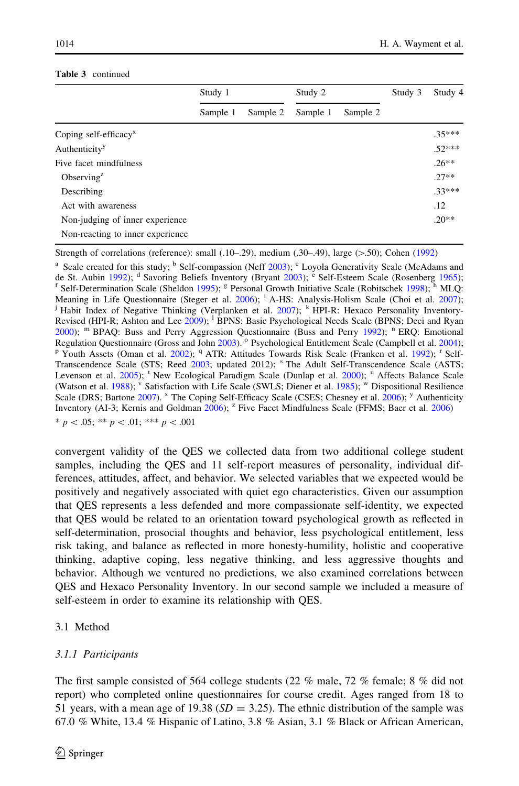|                                     | Study 1<br>Sample 2<br>Sample 1 |  | Study 2  |          | Study 3 | Study 4  |
|-------------------------------------|---------------------------------|--|----------|----------|---------|----------|
|                                     |                                 |  | Sample 1 | Sample 2 |         |          |
| Coping self-efficacy $x$            |                                 |  |          |          |         | $.35***$ |
| Authenticity <sup>y</sup>           |                                 |  |          |          |         | $.52***$ |
| Five facet mindfulness              |                                 |  |          |          |         | $.26**$  |
| Observing <sup><math>z</math></sup> |                                 |  |          |          |         | $27**$   |
| Describing                          |                                 |  |          |          |         | $.33***$ |
| Act with awareness                  |                                 |  |          |          |         | .12      |
| Non-judging of inner experience     |                                 |  |          |          |         | $.20**$  |
| Non-reacting to inner experience    |                                 |  |          |          |         |          |

#### Table 3 continued

Strength of correlations (reference): small  $(.10-.29)$ , medium  $(.30-.49)$ , large  $(>.50)$ ; Cohen [\(1992](#page-31-0))

<sup>a</sup> Scale created for this study; <sup>b</sup> Self-compassion (Neff [2003](#page-33-0)); <sup>c</sup> Loyola Generativity Scale (McAdams and de St. Aubin [1992\)](#page-32-0); <sup>d</sup> Savoring Beliefs Inventory (Bryant [2003](#page-31-0)); <sup>è</sup> Self-Esteem Scale (Rosenberg [1965\)](#page-33-0); <sup>f</sup> Self-Determination Scale (Sheldon [1995](#page-33-0)); <sup>g</sup> Personal Growth Initiative Scale (Robitschek [1998\)](#page-33-0); <sup>h</sup> MLQ: Meaning in Life Questionnaire (Steger et al. [2006](#page-33-0)); <sup>i</sup> A-HS: Analysis-Holism Scale (Choi et al. [2007\)](#page-31-0); <sup>j</sup> Habit Index of Negative Thinking (Verplanken et al. [2007\)](#page-33-0); <sup>k</sup> HPI-R: Hexaco Personality Inventory-Revised (HPI-R; Ashton and Lee [2009](#page-30-0)); <sup>1</sup> BPNS: Basic Psychological Needs Scale (BPNS; Deci and Ryan  $2000$ ); <sup>m</sup> BPAQ: Buss and Perry Aggression Questionnaire (Buss and Perry [1992](#page-31-0)); <sup>n</sup> ERQ: Emotional Regulation Questionnaire (Gross and John 2003). <sup>o</sup> Psychological Entitlement Scale (Campbell et al. 2004); P Youth Assets (Oman et al. [2002](#page-33-0)); <sup>q</sup> ATR: Attitudes Towards Risk Scale (Franken et al. [1992](#page-31-0)); <sup>r</sup> Self-Transcendence Scale (STS; Reed [2003;](#page-33-0) updated 2012); <sup>s</sup> The Adult Self-Transcendence Scale (ASTS; Levenson et al. [2005](#page-32-0)); <sup>t</sup> New Ecological Paradigm Scale (Dunlap et al. [2000\)](#page-31-0); <sup>u</sup> Affects Balance Scale (Watson et al. [1988\)](#page-33-0); <sup>v</sup> Satisfaction with Life Scale (SWLS; Diener et al. [1985\)](#page-31-0); <sup>w</sup> Dispositional Resilience Scale (DRS; Bartone [2007\)](#page-30-0). <sup>x</sup> The Coping Self-Efficacy Scale (CSES; Chesney et al. [2006\)](#page-31-0); <sup>y</sup> Authenticity Inventory (AI-3; Kernis and Goldman [2006](#page-30-0)); <sup>z</sup> Five Facet Mindfulness Scale (FFMS; Baer et al. 2006)  $* p < .05; ** p < .01; ** * p < .001$ 

convergent validity of the QES we collected data from two additional college student samples, including the QES and 11 self-report measures of personality, individual differences, attitudes, affect, and behavior. We selected variables that we expected would be positively and negatively associated with quiet ego characteristics. Given our assumption that QES represents a less defended and more compassionate self-identity, we expected that QES would be related to an orientation toward psychological growth as reflected in self-determination, prosocial thoughts and behavior, less psychological entitlement, less risk taking, and balance as reflected in more honesty-humility, holistic and cooperative thinking, adaptive coping, less negative thinking, and less aggressive thoughts and behavior. Although we ventured no predictions, we also examined correlations between QES and Hexaco Personality Inventory. In our second sample we included a measure of self-esteem in order to examine its relationship with QES.

### 3.1 Method

### 3.1.1 Participants

The first sample consisted of 564 college students (22 % male, 72 % female; 8 % did not report) who completed online questionnaires for course credit. Ages ranged from 18 to 51 years, with a mean age of 19.38 ( $SD = 3.25$ ). The ethnic distribution of the sample was 67.0 % White, 13.4 % Hispanic of Latino, 3.8 % Asian, 3.1 % Black or African American,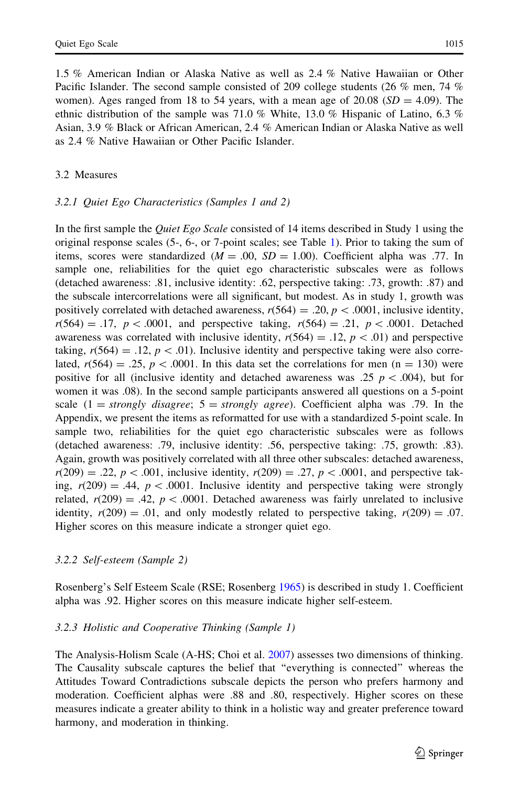1.5 % American Indian or Alaska Native as well as 2.4 % Native Hawaiian or Other Pacific Islander. The second sample consisted of 209 college students (26 % men, 74 % women). Ages ranged from 18 to 54 years, with a mean age of 20.08 ( $SD = 4.09$ ). The ethnic distribution of the sample was 71.0 % White, 13.0 % Hispanic of Latino, 6.3 % Asian, 3.9 % Black or African American, 2.4 % American Indian or Alaska Native as well as 2.4 % Native Hawaiian or Other Pacific Islander.

#### 3.2 Measures

#### 3.2.1 Quiet Ego Characteristics (Samples 1 and 2)

In the first sample the *Quiet Ego Scale* consisted of 14 items described in Study 1 using the original response scales (5-, 6-, or 7-point scales; see Table [1](#page-11-0)). Prior to taking the sum of items, scores were standardized  $(M = .00, SD = 1.00)$ . Coefficient alpha was .77. In sample one, reliabilities for the quiet ego characteristic subscales were as follows (detached awareness: .81, inclusive identity: .62, perspective taking: .73, growth: .87) and the subscale intercorrelations were all significant, but modest. As in study 1, growth was positively correlated with detached awareness,  $r(564) = .20$ ,  $p < .0001$ , inclusive identity,  $r(564) = .17$ ,  $p < .0001$ , and perspective taking,  $r(564) = .21$ ,  $p < .0001$ . Detached awareness was correlated with inclusive identity,  $r(564) = .12$ ,  $p < .01$ ) and perspective taking,  $r(564) = .12$ ,  $p < .01$ ). Inclusive identity and perspective taking were also correlated,  $r(564) = .25$ ,  $p < .0001$ . In this data set the correlations for men (n = 130) were positive for all (inclusive identity and detached awareness was .25  $p < .004$ ), but for women it was .08). In the second sample participants answered all questions on a 5-point scale  $(1 = strongly disagree; 5 = strongly agree)$ . Coefficient alpha was .79. In the Appendix, we present the items as reformatted for use with a standardized 5-point scale. In sample two, reliabilities for the quiet ego characteristic subscales were as follows (detached awareness: .79, inclusive identity: .56, perspective taking: .75, growth: .83). Again, growth was positively correlated with all three other subscales: detached awareness,  $r(209) = .22, p < .001$ , inclusive identity,  $r(209) = .27, p < .0001$ , and perspective taking,  $r(209) = .44$ ,  $p < .0001$ . Inclusive identity and perspective taking were strongly related,  $r(209) = .42$ ,  $p < .0001$ . Detached awareness was fairly unrelated to inclusive identity,  $r(209) = .01$ , and only modestly related to perspective taking,  $r(209) = .07$ . Higher scores on this measure indicate a stronger quiet ego.

### 3.2.2 Self-esteem (Sample 2)

Rosenberg's Self Esteem Scale (RSE; Rosenberg [1965](#page-33-0)) is described in study 1. Coefficient alpha was .92. Higher scores on this measure indicate higher self-esteem.

### 3.2.3 Holistic and Cooperative Thinking (Sample 1)

The Analysis-Holism Scale (A-HS; Choi et al. [2007](#page-31-0)) assesses two dimensions of thinking. The Causality subscale captures the belief that ''everything is connected'' whereas the Attitudes Toward Contradictions subscale depicts the person who prefers harmony and moderation. Coefficient alphas were .88 and .80, respectively. Higher scores on these measures indicate a greater ability to think in a holistic way and greater preference toward harmony, and moderation in thinking.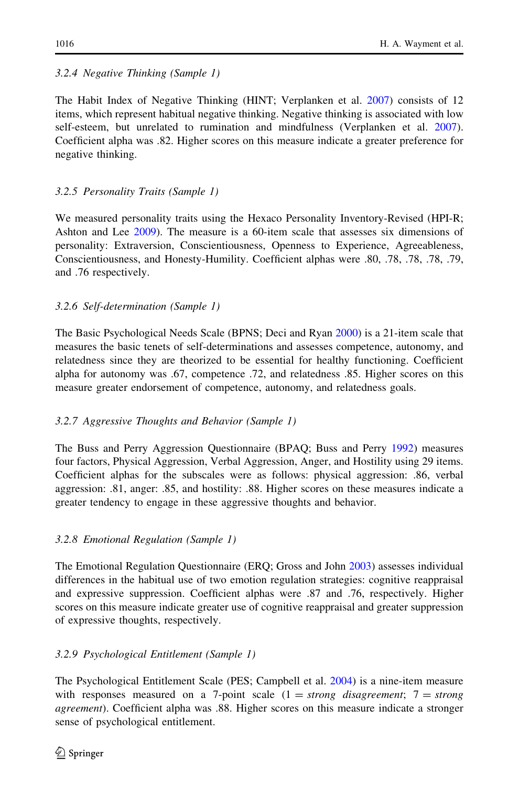### 3.2.4 Negative Thinking (Sample 1)

The Habit Index of Negative Thinking (HINT; Verplanken et al. [2007\)](#page-33-0) consists of 12 items, which represent habitual negative thinking. Negative thinking is associated with low self-esteem, but unrelated to rumination and mindfulness (Verplanken et al. [2007](#page-33-0)). Coefficient alpha was .82. Higher scores on this measure indicate a greater preference for negative thinking.

### 3.2.5 Personality Traits (Sample 1)

We measured personality traits using the Hexaco Personality Inventory-Revised (HPI-R; Ashton and Lee [2009](#page-30-0)). The measure is a 60-item scale that assesses six dimensions of personality: Extraversion, Conscientiousness, Openness to Experience, Agreeableness, Conscientiousness, and Honesty-Humility. Coefficient alphas were .80, .78, .78, .78, .79, and .76 respectively.

### 3.2.6 Self-determination (Sample 1)

The Basic Psychological Needs Scale (BPNS; Deci and Ryan [2000](#page-31-0)) is a 21-item scale that measures the basic tenets of self-determinations and assesses competence, autonomy, and relatedness since they are theorized to be essential for healthy functioning. Coefficient alpha for autonomy was .67, competence .72, and relatedness .85. Higher scores on this measure greater endorsement of competence, autonomy, and relatedness goals.

### 3.2.7 Aggressive Thoughts and Behavior (Sample 1)

The Buss and Perry Aggression Questionnaire (BPAQ; Buss and Perry [1992](#page-31-0)) measures four factors, Physical Aggression, Verbal Aggression, Anger, and Hostility using 29 items. Coefficient alphas for the subscales were as follows: physical aggression: .86, verbal aggression: .81, anger: .85, and hostility: .88. Higher scores on these measures indicate a greater tendency to engage in these aggressive thoughts and behavior.

### 3.2.8 Emotional Regulation (Sample 1)

The Emotional Regulation Questionnaire (ERQ; Gross and John [2003\)](#page-32-0) assesses individual differences in the habitual use of two emotion regulation strategies: cognitive reappraisal and expressive suppression. Coefficient alphas were .87 and .76, respectively. Higher scores on this measure indicate greater use of cognitive reappraisal and greater suppression of expressive thoughts, respectively.

### 3.2.9 Psychological Entitlement (Sample 1)

The Psychological Entitlement Scale (PES; Campbell et al. [2004](#page-31-0)) is a nine-item measure with responses measured on a 7-point scale  $(1 = strong$  disagreement;  $7 = strong$ agreement). Coefficient alpha was .88. Higher scores on this measure indicate a stronger sense of psychological entitlement.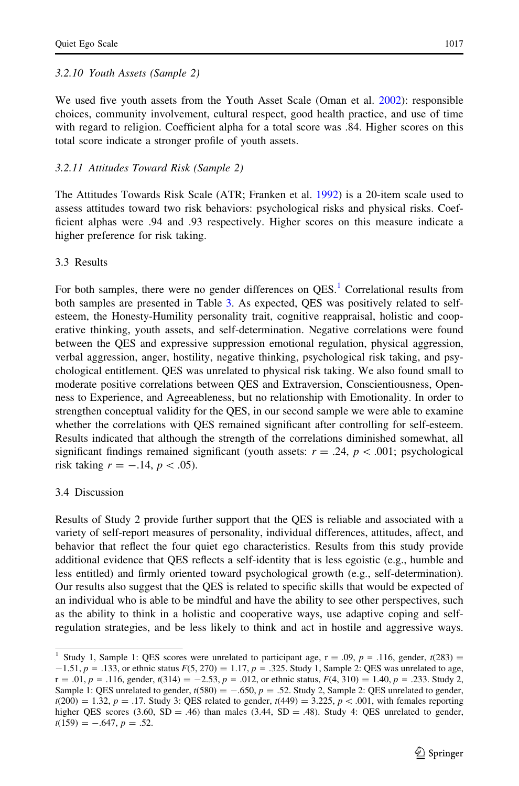#### 3.2.10 Youth Assets (Sample 2)

We used five youth assets from the Youth Asset Scale (Oman et al. [2002\)](#page-33-0): responsible choices, community involvement, cultural respect, good health practice, and use of time with regard to religion. Coefficient alpha for a total score was .84. Higher scores on this total score indicate a stronger profile of youth assets.

#### 3.2.11 Attitudes Toward Risk (Sample 2)

The Attitudes Towards Risk Scale (ATR; Franken et al. [1992\)](#page-31-0) is a 20-item scale used to assess attitudes toward two risk behaviors: psychological risks and physical risks. Coefficient alphas were .94 and .93 respectively. Higher scores on this measure indicate a higher preference for risk taking.

#### 3.3 Results

For both samples, there were no gender differences on  $QES<sup>1</sup>$  Correlational results from both samples are presented in Table [3](#page-14-0). As expected, QES was positively related to selfesteem, the Honesty-Humility personality trait, cognitive reappraisal, holistic and cooperative thinking, youth assets, and self-determination. Negative correlations were found between the QES and expressive suppression emotional regulation, physical aggression, verbal aggression, anger, hostility, negative thinking, psychological risk taking, and psychological entitlement. QES was unrelated to physical risk taking. We also found small to moderate positive correlations between QES and Extraversion, Conscientiousness, Openness to Experience, and Agreeableness, but no relationship with Emotionality. In order to strengthen conceptual validity for the QES, in our second sample we were able to examine whether the correlations with QES remained significant after controlling for self-esteem. Results indicated that although the strength of the correlations diminished somewhat, all significant findings remained significant (youth assets:  $r = .24$ ,  $p < .001$ ; psychological risk taking  $r = -.14$ ,  $p < .05$ ).

#### 3.4 Discussion

Results of Study 2 provide further support that the QES is reliable and associated with a variety of self-report measures of personality, individual differences, attitudes, affect, and behavior that reflect the four quiet ego characteristics. Results from this study provide additional evidence that QES reflects a self-identity that is less egoistic (e.g., humble and less entitled) and firmly oriented toward psychological growth (e.g., self-determination). Our results also suggest that the QES is related to specific skills that would be expected of an individual who is able to be mindful and have the ability to see other perspectives, such as the ability to think in a holistic and cooperative ways, use adaptive coping and selfregulation strategies, and be less likely to think and act in hostile and aggressive ways.

<sup>&</sup>lt;sup>1</sup> Study 1, Sample 1: QES scores were unrelated to participant age,  $r = .09$ ,  $p = .116$ , gender,  $t(283) =$  $-1.51, p = .133$ , or ethnic status  $F(5, 270) = 1.17, p = .325$ . Study 1, Sample 2: QES was unrelated to age,  $r = .01$ ,  $p = .116$ , gender,  $t(314) = -2.53$ ,  $p = .012$ , or ethnic status,  $F(4, 310) = 1.40$ ,  $p = .233$ . Study 2, Sample 1: QES unrelated to gender,  $t(580) = -.650$ ,  $p = .52$ . Study 2, Sample 2: QES unrelated to gender,  $t(200) = 1.32, p = .17$ . Study 3: QES related to gender,  $t(449) = 3.225, p < .001$ , with females reporting higher QES scores (3.60, SD = .46) than males (3.44, SD = .48). Study 4: QES unrelated to gender,  $t(159) = -.647, p = .52.$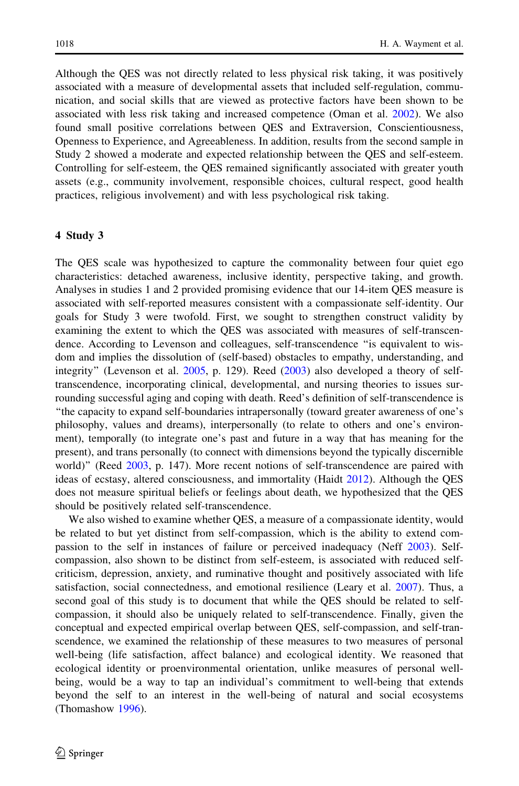Although the QES was not directly related to less physical risk taking, it was positively associated with a measure of developmental assets that included self-regulation, communication, and social skills that are viewed as protective factors have been shown to be associated with less risk taking and increased competence (Oman et al. [2002](#page-33-0)). We also found small positive correlations between QES and Extraversion, Conscientiousness, Openness to Experience, and Agreeableness. In addition, results from the second sample in Study 2 showed a moderate and expected relationship between the QES and self-esteem. Controlling for self-esteem, the QES remained significantly associated with greater youth assets (e.g., community involvement, responsible choices, cultural respect, good health practices, religious involvement) and with less psychological risk taking.

#### 4 Study 3

The QES scale was hypothesized to capture the commonality between four quiet ego characteristics: detached awareness, inclusive identity, perspective taking, and growth. Analyses in studies 1 and 2 provided promising evidence that our 14-item QES measure is associated with self-reported measures consistent with a compassionate self-identity. Our goals for Study 3 were twofold. First, we sought to strengthen construct validity by examining the extent to which the QES was associated with measures of self-transcendence. According to Levenson and colleagues, self-transcendence ''is equivalent to wisdom and implies the dissolution of (self-based) obstacles to empathy, understanding, and integrity" (Levenson et al.  $2005$ , p. 129). Reed  $(2003)$  $(2003)$  also developed a theory of selftranscendence, incorporating clinical, developmental, and nursing theories to issues surrounding successful aging and coping with death. Reed's definition of self-transcendence is ''the capacity to expand self-boundaries intrapersonally (toward greater awareness of one's philosophy, values and dreams), interpersonally (to relate to others and one's environment), temporally (to integrate one's past and future in a way that has meaning for the present), and trans personally (to connect with dimensions beyond the typically discernible world)" (Reed [2003,](#page-33-0) p. 147). More recent notions of self-transcendence are paired with ideas of ecstasy, altered consciousness, and immortality (Haidt [2012](#page-32-0)). Although the QES does not measure spiritual beliefs or feelings about death, we hypothesized that the QES should be positively related self-transcendence.

We also wished to examine whether QES, a measure of a compassionate identity, would be related to but yet distinct from self-compassion, which is the ability to extend compassion to the self in instances of failure or perceived inadequacy (Neff [2003](#page-33-0)). Selfcompassion, also shown to be distinct from self-esteem, is associated with reduced selfcriticism, depression, anxiety, and ruminative thought and positively associated with life satisfaction, social connectedness, and emotional resilience (Leary et al. [2007](#page-32-0)). Thus, a second goal of this study is to document that while the QES should be related to selfcompassion, it should also be uniquely related to self-transcendence. Finally, given the conceptual and expected empirical overlap between QES, self-compassion, and self-transcendence, we examined the relationship of these measures to two measures of personal well-being (life satisfaction, affect balance) and ecological identity. We reasoned that ecological identity or proenvironmental orientation, unlike measures of personal wellbeing, would be a way to tap an individual's commitment to well-being that extends beyond the self to an interest in the well-being of natural and social ecosystems (Thomashow [1996\)](#page-33-0).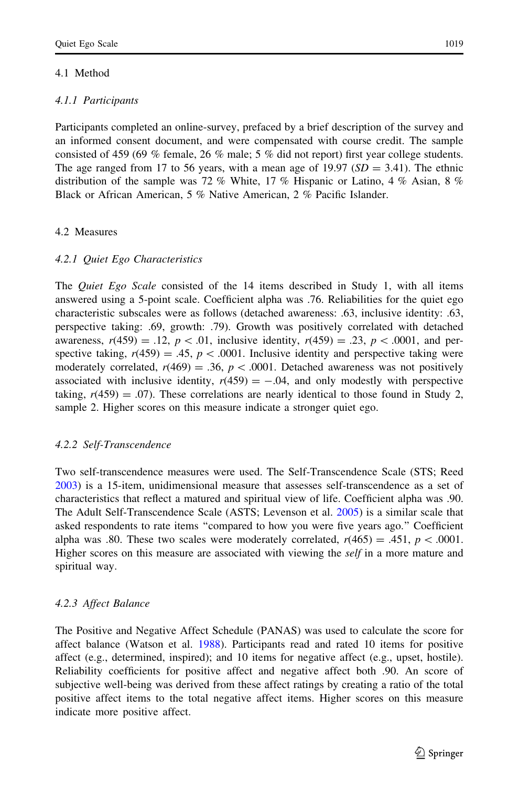## 4.1 Method

## 4.1.1 Participants

Participants completed an online-survey, prefaced by a brief description of the survey and an informed consent document, and were compensated with course credit. The sample consisted of 459 (69 % female, 26 % male; 5 % did not report) first year college students. The age ranged from 17 to 56 years, with a mean age of 19.97 ( $SD = 3.41$ ). The ethnic distribution of the sample was 72 % White, 17 % Hispanic or Latino, 4 % Asian, 8 % Black or African American, 5 % Native American, 2 % Pacific Islander.

## 4.2 Measures

### 4.2.1 Quiet Ego Characteristics

The *Quiet Ego Scale* consisted of the 14 items described in Study 1, with all items answered using a 5-point scale. Coefficient alpha was .76. Reliabilities for the quiet ego characteristic subscales were as follows (detached awareness: .63, inclusive identity: .63, perspective taking: .69, growth: .79). Growth was positively correlated with detached awareness,  $r(459) = .12$ ,  $p < .01$ , inclusive identity,  $r(459) = .23$ ,  $p < .0001$ , and perspective taking,  $r(459) = .45$ ,  $p < .0001$ . Inclusive identity and perspective taking were moderately correlated,  $r(469) = .36$ ,  $p < .0001$ . Detached awareness was not positively associated with inclusive identity,  $r(459) = -.04$ , and only modestly with perspective taking,  $r(459) = .07$ ). These correlations are nearly identical to those found in Study 2, sample 2. Higher scores on this measure indicate a stronger quiet ego.

### 4.2.2 Self-Transcendence

Two self-transcendence measures were used. The Self-Transcendence Scale (STS; Reed [2003\)](#page-33-0) is a 15-item, unidimensional measure that assesses self-transcendence as a set of characteristics that reflect a matured and spiritual view of life. Coefficient alpha was .90. The Adult Self-Transcendence Scale (ASTS; Levenson et al. [2005](#page-32-0)) is a similar scale that asked respondents to rate items ''compared to how you were five years ago.'' Coefficient alpha was .80. These two scales were moderately correlated,  $r(465) = .451$ ,  $p < .0001$ . Higher scores on this measure are associated with viewing the *self* in a more mature and spiritual way.

## 4.2.3 Affect Balance

The Positive and Negative Affect Schedule (PANAS) was used to calculate the score for affect balance (Watson et al. [1988\)](#page-33-0). Participants read and rated 10 items for positive affect (e.g., determined, inspired); and 10 items for negative affect (e.g., upset, hostile). Reliability coefficients for positive affect and negative affect both .90. An score of subjective well-being was derived from these affect ratings by creating a ratio of the total positive affect items to the total negative affect items. Higher scores on this measure indicate more positive affect.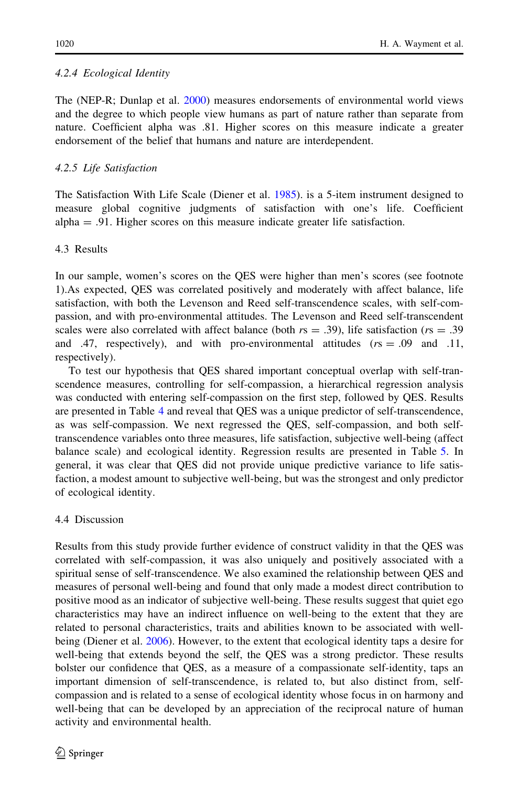## 4.2.4 Ecological Identity

The (NEP-R; Dunlap et al. [2000\)](#page-31-0) measures endorsements of environmental world views and the degree to which people view humans as part of nature rather than separate from nature. Coefficient alpha was .81. Higher scores on this measure indicate a greater endorsement of the belief that humans and nature are interdependent.

## 4.2.5 Life Satisfaction

The Satisfaction With Life Scale (Diener et al. [1985](#page-31-0)). is a 5-item instrument designed to measure global cognitive judgments of satisfaction with one's life. Coefficient alpha = .91. Higher scores on this measure indicate greater life satisfaction.

## 4.3 Results

In our sample, women's scores on the QES were higher than men's scores (see footnote 1).As expected, QES was correlated positively and moderately with affect balance, life satisfaction, with both the Levenson and Reed self-transcendence scales, with self-compassion, and with pro-environmental attitudes. The Levenson and Reed self-transcendent scales were also correlated with affect balance (both  $rs = .39$ ), life satisfaction ( $rs = .39$ ) and .47, respectively), and with pro-environmental attitudes  $(rs = .09$  and .11, respectively).

To test our hypothesis that QES shared important conceptual overlap with self-transcendence measures, controlling for self-compassion, a hierarchical regression analysis was conducted with entering self-compassion on the first step, followed by QES. Results are presented in Table [4](#page-22-0) and reveal that QES was a unique predictor of self-transcendence, as was self-compassion. We next regressed the QES, self-compassion, and both selftranscendence variables onto three measures, life satisfaction, subjective well-being (affect balance scale) and ecological identity. Regression results are presented in Table [5.](#page-22-0) In general, it was clear that QES did not provide unique predictive variance to life satisfaction, a modest amount to subjective well-being, but was the strongest and only predictor of ecological identity.

### 4.4 Discussion

Results from this study provide further evidence of construct validity in that the QES was correlated with self-compassion, it was also uniquely and positively associated with a spiritual sense of self-transcendence. We also examined the relationship between QES and measures of personal well-being and found that only made a modest direct contribution to positive mood as an indicator of subjective well-being. These results suggest that quiet ego characteristics may have an indirect influence on well-being to the extent that they are related to personal characteristics, traits and abilities known to be associated with wellbeing (Diener et al. [2006\)](#page-31-0). However, to the extent that ecological identity taps a desire for well-being that extends beyond the self, the QES was a strong predictor. These results bolster our confidence that QES, as a measure of a compassionate self-identity, taps an important dimension of self-transcendence, is related to, but also distinct from, selfcompassion and is related to a sense of ecological identity whose focus in on harmony and well-being that can be developed by an appreciation of the reciprocal nature of human activity and environmental health.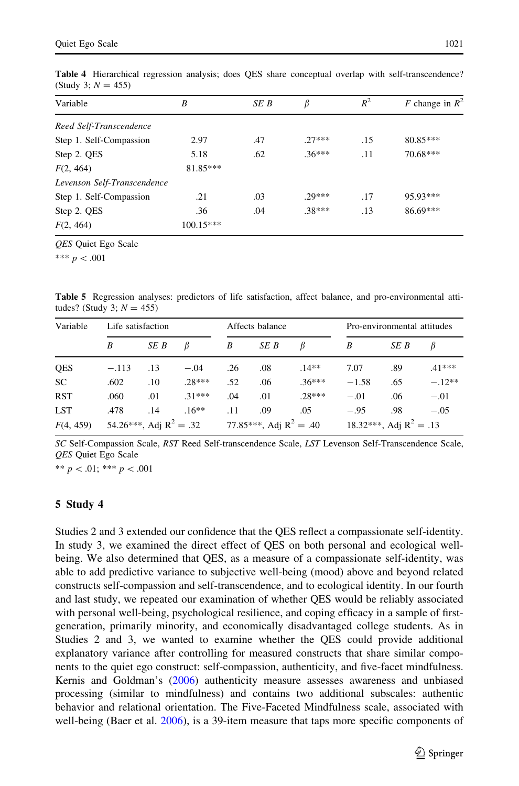|--|

| Variable                    | B           | SE B | $\beta$  | $R^2$ | F change in $R^2$ |
|-----------------------------|-------------|------|----------|-------|-------------------|
| Reed Self-Transcendence     |             |      |          |       |                   |
| Step 1. Self-Compassion     | 2.97        | .47  | $27***$  | .15   | $80.85***$        |
| Step 2. QES                 | 5.18        | .62  | $.36***$ | .11   | 70.68***          |
| F(2, 464)                   | 81.85***    |      |          |       |                   |
| Levenson Self-Transcendence |             |      |          |       |                   |
| Step 1. Self-Compassion     | .21         | .03  | $29***$  | .17   | 95.93***          |
| Step 2. QES                 | .36         | .04  | $.38***$ | .13   | 86.69***          |
| F(2, 464)                   | $100.15***$ |      |          |       |                   |

<span id="page-22-0"></span>Table 4 Hierarchical regression analysis; does QES share conceptual overlap with self-transcendence? (Study 3;  $N = 455$ )

QES Quiet Ego Scale

\*\*\*  $p < .001$ 

Table 5 Regression analyses: predictors of life satisfaction, affect balance, and pro-environmental attitudes? (Study 3;  $N = 455$ )

| Variable   | Life satisfaction         |      |          | Affects balance           |      |          |                           | Pro-environmental attitudes |          |  |
|------------|---------------------------|------|----------|---------------------------|------|----------|---------------------------|-----------------------------|----------|--|
|            | B                         | SE B | B        | B                         | SE B | B        | B                         | SE B                        | В        |  |
| QES        | $-.113$                   | .13  | $-.04$   | .26                       | .08  | $.14***$ | 7.07                      | .89                         | $.41***$ |  |
| <b>SC</b>  | .602                      | .10  | $.28***$ | .52                       | .06  | $.36***$ | $-1.58$                   | .65                         | $-.12**$ |  |
| <b>RST</b> | .060                      | .01  | $.31***$ | .04                       | .01  | $.28***$ | $-.01$                    | .06                         | $-.01$   |  |
| <b>LST</b> | .478                      | .14  | $.16**$  | .11                       | .09  | .05      | $-.95$                    | .98                         | $-.05$   |  |
| F(4, 459)  | 54.26***, Adj $R^2 = .32$ |      |          | 77.85***, Adj $R^2 = .40$ |      |          | 18.32***, Adj $R^2 = .13$ |                             |          |  |

SC Self-Compassion Scale, RST Reed Self-transcendence Scale, LST Levenson Self-Transcendence Scale, QES Quiet Ego Scale

\*\*  $p$  < .01; \*\*\*  $p$  < .001

### 5 Study 4

Studies 2 and 3 extended our confidence that the QES reflect a compassionate self-identity. In study 3, we examined the direct effect of QES on both personal and ecological wellbeing. We also determined that QES, as a measure of a compassionate self-identity, was able to add predictive variance to subjective well-being (mood) above and beyond related constructs self-compassion and self-transcendence, and to ecological identity. In our fourth and last study, we repeated our examination of whether QES would be reliably associated with personal well-being, psychological resilience, and coping efficacy in a sample of firstgeneration, primarily minority, and economically disadvantaged college students. As in Studies 2 and 3, we wanted to examine whether the QES could provide additional explanatory variance after controlling for measured constructs that share similar components to the quiet ego construct: self-compassion, authenticity, and five-facet mindfulness. Kernis and Goldman's [\(2006](#page-32-0)) authenticity measure assesses awareness and unbiased processing (similar to mindfulness) and contains two additional subscales: authentic behavior and relational orientation. The Five-Faceted Mindfulness scale, associated with well-being (Baer et al. [2006\)](#page-30-0), is a 39-item measure that taps more specific components of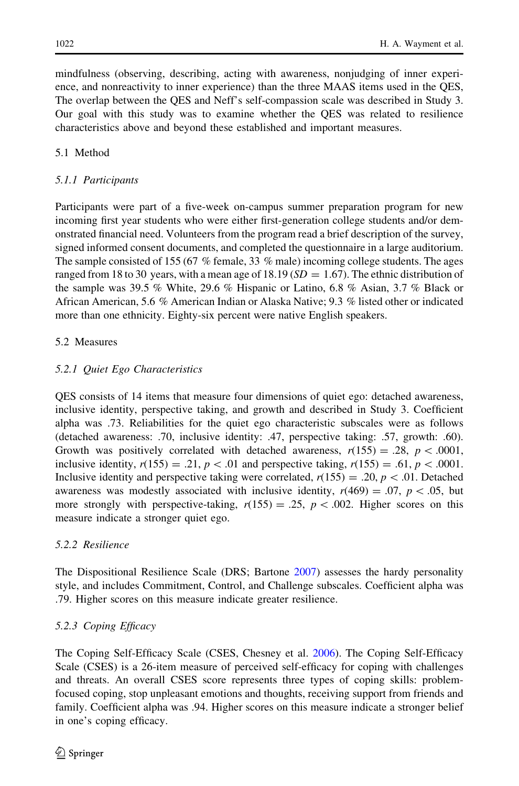mindfulness (observing, describing, acting with awareness, nonjudging of inner experience, and nonreactivity to inner experience) than the three MAAS items used in the QES, The overlap between the QES and Neff's self-compassion scale was described in Study 3. Our goal with this study was to examine whether the QES was related to resilience characteristics above and beyond these established and important measures.

## 5.1 Method

## 5.1.1 Participants

Participants were part of a five-week on-campus summer preparation program for new incoming first year students who were either first-generation college students and/or demonstrated financial need. Volunteers from the program read a brief description of the survey, signed informed consent documents, and completed the questionnaire in a large auditorium. The sample consisted of 155 (67 % female, 33 % male) incoming college students. The ages ranged from 18 to 30 years, with a mean age of 18.19 ( $SD = 1.67$ ). The ethnic distribution of the sample was 39.5 % White, 29.6 % Hispanic or Latino, 6.8 % Asian, 3.7 % Black or African American, 5.6 % American Indian or Alaska Native; 9.3 % listed other or indicated more than one ethnicity. Eighty-six percent were native English speakers.

## 5.2 Measures

## 5.2.1 Quiet Ego Characteristics

QES consists of 14 items that measure four dimensions of quiet ego: detached awareness, inclusive identity, perspective taking, and growth and described in Study 3. Coefficient alpha was .73. Reliabilities for the quiet ego characteristic subscales were as follows (detached awareness: .70, inclusive identity: .47, perspective taking: .57, growth: .60). Growth was positively correlated with detached awareness,  $r(155) = .28$ ,  $p < .0001$ , inclusive identity,  $r(155) = .21$ ,  $p < .01$  and perspective taking,  $r(155) = .61$ ,  $p < .0001$ . Inclusive identity and perspective taking were correlated,  $r(155) = .20$ ,  $p \lt .01$ . Detached awareness was modestly associated with inclusive identity,  $r(469) = .07$ ,  $p \lt .05$ , but more strongly with perspective-taking,  $r(155) = .25$ ,  $p < .002$ . Higher scores on this measure indicate a stronger quiet ego.

## 5.2.2 Resilience

The Dispositional Resilience Scale (DRS; Bartone [2007](#page-30-0)) assesses the hardy personality style, and includes Commitment, Control, and Challenge subscales. Coefficient alpha was .79. Higher scores on this measure indicate greater resilience.

## 5.2.3 Coping Efficacy

The Coping Self-Efficacy Scale (CSES, Chesney et al. [2006\)](#page-31-0). The Coping Self-Efficacy Scale (CSES) is a 26-item measure of perceived self-efficacy for coping with challenges and threats. An overall CSES score represents three types of coping skills: problemfocused coping, stop unpleasant emotions and thoughts, receiving support from friends and family. Coefficient alpha was .94. Higher scores on this measure indicate a stronger belief in one's coping efficacy.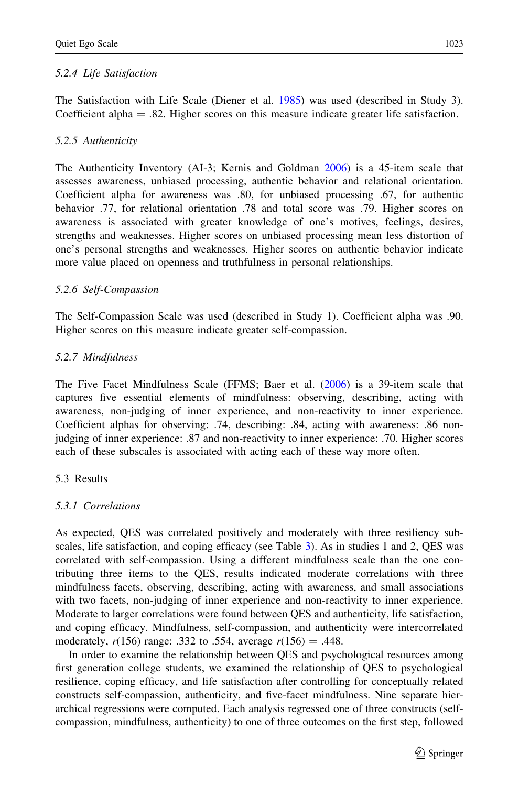### 5.2.4 Life Satisfaction

The Satisfaction with Life Scale (Diener et al. [1985\)](#page-31-0) was used (described in Study 3). Coefficient alpha  $= .82$ . Higher scores on this measure indicate greater life satisfaction.

### 5.2.5 Authenticity

The Authenticity Inventory (AI-3; Kernis and Goldman [2006\)](#page-32-0) is a 45-item scale that assesses awareness, unbiased processing, authentic behavior and relational orientation. Coefficient alpha for awareness was .80, for unbiased processing .67, for authentic behavior .77, for relational orientation .78 and total score was .79. Higher scores on awareness is associated with greater knowledge of one's motives, feelings, desires, strengths and weaknesses. Higher scores on unbiased processing mean less distortion of one's personal strengths and weaknesses. Higher scores on authentic behavior indicate more value placed on openness and truthfulness in personal relationships.

### 5.2.6 Self-Compassion

The Self-Compassion Scale was used (described in Study 1). Coefficient alpha was .90. Higher scores on this measure indicate greater self-compassion.

### 5.2.7 Mindfulness

The Five Facet Mindfulness Scale (FFMS; Baer et al. ([2006](#page-30-0)) is a 39-item scale that captures five essential elements of mindfulness: observing, describing, acting with awareness, non-judging of inner experience, and non-reactivity to inner experience. Coefficient alphas for observing: .74, describing: .84, acting with awareness: .86 nonjudging of inner experience: .87 and non-reactivity to inner experience: .70. Higher scores each of these subscales is associated with acting each of these way more often.

### 5.3 Results

### 5.3.1 Correlations

As expected, QES was correlated positively and moderately with three resiliency subscales, life satisfaction, and coping efficacy (see Table [3](#page-14-0)). As in studies 1 and 2, QES was correlated with self-compassion. Using a different mindfulness scale than the one contributing three items to the QES, results indicated moderate correlations with three mindfulness facets, observing, describing, acting with awareness, and small associations with two facets, non-judging of inner experience and non-reactivity to inner experience. Moderate to larger correlations were found between QES and authenticity, life satisfaction, and coping efficacy. Mindfulness, self-compassion, and authenticity were intercorrelated moderately,  $r(156)$  range: .332 to .554, average  $r(156) = .448$ .

In order to examine the relationship between QES and psychological resources among first generation college students, we examined the relationship of QES to psychological resilience, coping efficacy, and life satisfaction after controlling for conceptually related constructs self-compassion, authenticity, and five-facet mindfulness. Nine separate hierarchical regressions were computed. Each analysis regressed one of three constructs (selfcompassion, mindfulness, authenticity) to one of three outcomes on the first step, followed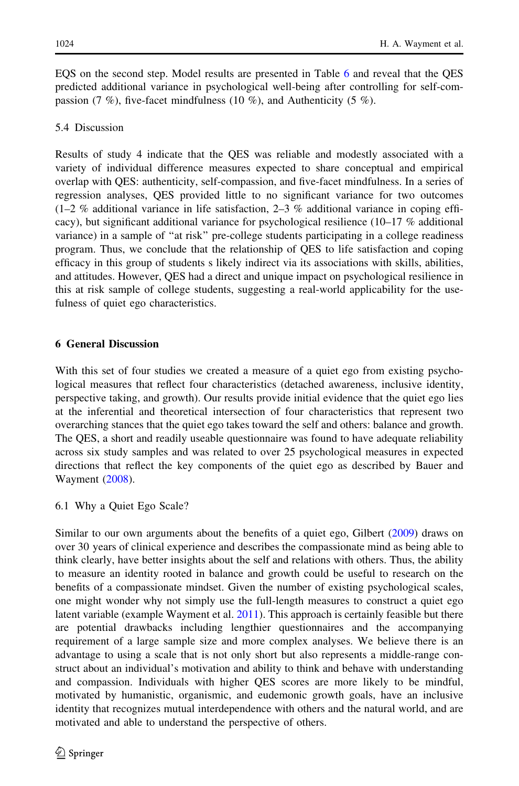EQS on the second step. Model results are presented in Table [6](#page-26-0) and reveal that the QES predicted additional variance in psychological well-being after controlling for self-compassion (7 %), five-facet mindfulness (10 %), and Authenticity (5 %).

### 5.4 Discussion

Results of study 4 indicate that the QES was reliable and modestly associated with a variety of individual difference measures expected to share conceptual and empirical overlap with QES: authenticity, self-compassion, and five-facet mindfulness. In a series of regression analyses, QES provided little to no significant variance for two outcomes  $(1-2 \%$  additional variance in life satisfaction, 2–3 % additional variance in coping efficacy), but significant additional variance for psychological resilience (10–17 % additional variance) in a sample of ''at risk'' pre-college students participating in a college readiness program. Thus, we conclude that the relationship of QES to life satisfaction and coping efficacy in this group of students s likely indirect via its associations with skills, abilities, and attitudes. However, QES had a direct and unique impact on psychological resilience in this at risk sample of college students, suggesting a real-world applicability for the usefulness of quiet ego characteristics.

## 6 General Discussion

With this set of four studies we created a measure of a quiet ego from existing psychological measures that reflect four characteristics (detached awareness, inclusive identity, perspective taking, and growth). Our results provide initial evidence that the quiet ego lies at the inferential and theoretical intersection of four characteristics that represent two overarching stances that the quiet ego takes toward the self and others: balance and growth. The QES, a short and readily useable questionnaire was found to have adequate reliability across six study samples and was related to over 25 psychological measures in expected directions that reflect the key components of the quiet ego as described by Bauer and Wayment [\(2008\)](#page-31-0).

6.1 Why a Quiet Ego Scale?

Similar to our own arguments about the benefits of a quiet ego, Gilbert [\(2009\)](#page-32-0) draws on over 30 years of clinical experience and describes the compassionate mind as being able to think clearly, have better insights about the self and relations with others. Thus, the ability to measure an identity rooted in balance and growth could be useful to research on the benefits of a compassionate mindset. Given the number of existing psychological scales, one might wonder why not simply use the full-length measures to construct a quiet ego latent variable (example Wayment et al. [2011](#page-34-0)). This approach is certainly feasible but there are potential drawbacks including lengthier questionnaires and the accompanying requirement of a large sample size and more complex analyses. We believe there is an advantage to using a scale that is not only short but also represents a middle-range construct about an individual's motivation and ability to think and behave with understanding and compassion. Individuals with higher QES scores are more likely to be mindful, motivated by humanistic, organismic, and eudemonic growth goals, have an inclusive identity that recognizes mutual interdependence with others and the natural world, and are motivated and able to understand the perspective of others.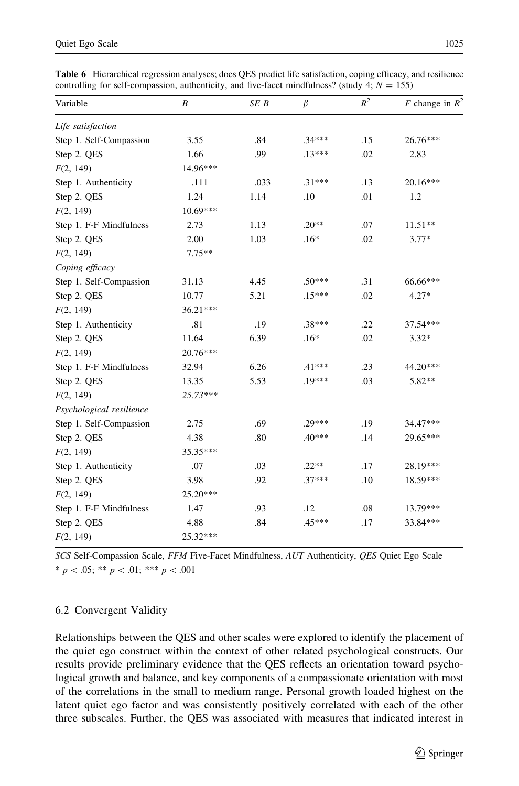| Variable                 | B        | SE B | $\beta$  | $\mathbb{R}^2$ | F change in $R^2$ |  |
|--------------------------|----------|------|----------|----------------|-------------------|--|
| Life satisfaction        |          |      |          |                |                   |  |
| Step 1. Self-Compassion  | 3.55     | .84  | $.34***$ | .15            | 26.76***          |  |
| Step 2. QES              | 1.66     | .99  | $.13***$ | .02            | 2.83              |  |
| F(2, 149)                | 14.96*** |      |          |                |                   |  |
| Step 1. Authenticity     | .111     | .033 | $.31***$ | .13            | 20.16***          |  |
| Step 2. QES              | 1.24     | 1.14 | .10      | .01            | 1.2               |  |
| F(2, 149)                | 10.69*** |      |          |                |                   |  |
| Step 1. F-F Mindfulness  | 2.73     | 1.13 | $.20**$  | .07            | $11.51**$         |  |
| Step 2. QES              | 2.00     | 1.03 | $.16*$   | .02            | $3.77*$           |  |
| F(2, 149)                | $7.75**$ |      |          |                |                   |  |
| Coping efficacy          |          |      |          |                |                   |  |
| Step 1. Self-Compassion  | 31.13    | 4.45 | $.50***$ | .31            | 66.66***          |  |
| Step 2. QES              | 10.77    | 5.21 | $.15***$ | .02            | $4.27*$           |  |
| F(2, 149)                | 36.21*** |      |          |                |                   |  |
| Step 1. Authenticity     | .81      | .19  | $.38***$ | .22            | 37.54***          |  |
| Step 2. QES              | 11.64    | 6.39 | $.16*$   | .02            | $3.32*$           |  |
| F(2, 149)                | 20.76*** |      |          |                |                   |  |
| Step 1. F-F Mindfulness  | 32.94    | 6.26 | $.41***$ | .23            | 44.20***          |  |
| Step 2. QES              | 13.35    | 5.53 | $.19***$ | .03            | $5.82**$          |  |
| F(2, 149)                | 25.73*** |      |          |                |                   |  |
| Psychological resilience |          |      |          |                |                   |  |
| Step 1. Self-Compassion  | 2.75     | .69  | $.29***$ | .19            | 34.47***          |  |
| Step 2. QES              | 4.38     | .80  | $.40***$ | .14            | 29.65***          |  |
| F(2, 149)                | 35.35*** |      |          |                |                   |  |
| Step 1. Authenticity     | .07      | .03  | $.22**$  | .17            | 28.19***          |  |
| Step 2. QES              | 3.98     | .92  | $.37***$ | .10            | 18.59***          |  |
| F(2, 149)                | 25.20*** |      |          |                |                   |  |
| Step 1. F-F Mindfulness  | 1.47     | .93  | .12      | .08            | 13.79***          |  |
| Step 2. QES              | 4.88     | .84  | .45***   | .17            | 33.84***          |  |
| F(2, 149)                | 25.32*** |      |          |                |                   |  |
|                          |          |      |          |                |                   |  |

<span id="page-26-0"></span>Table 6 Hierarchical regression analyses; does QES predict life satisfaction, coping efficacy, and resilience controlling for self-compassion, authenticity, and five-facet mindfulness? (study 4;  $N = 155$ )

SCS Self-Compassion Scale, FFM Five-Facet Mindfulness, AUT Authenticity, QES Quiet Ego Scale  $* p < .05; ** p < .01; ** * p < .001$ 

### 6.2 Convergent Validity

Relationships between the QES and other scales were explored to identify the placement of the quiet ego construct within the context of other related psychological constructs. Our results provide preliminary evidence that the QES reflects an orientation toward psychological growth and balance, and key components of a compassionate orientation with most of the correlations in the small to medium range. Personal growth loaded highest on the latent quiet ego factor and was consistently positively correlated with each of the other three subscales. Further, the QES was associated with measures that indicated interest in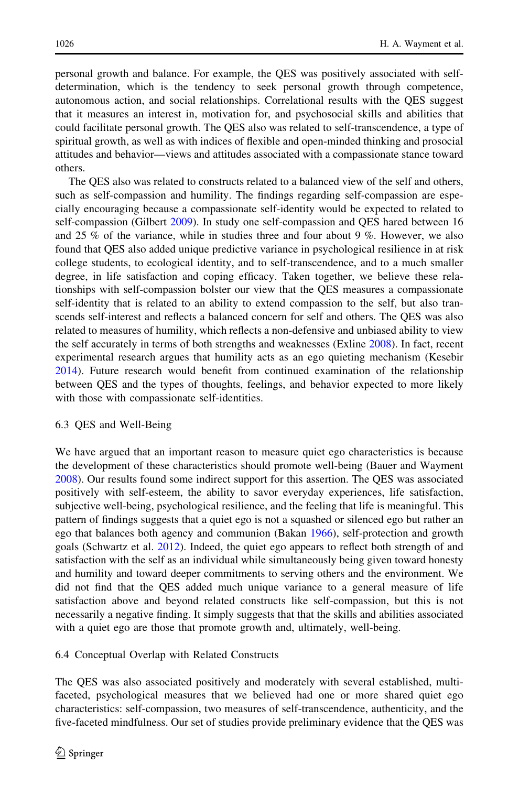personal growth and balance. For example, the QES was positively associated with selfdetermination, which is the tendency to seek personal growth through competence, autonomous action, and social relationships. Correlational results with the QES suggest that it measures an interest in, motivation for, and psychosocial skills and abilities that could facilitate personal growth. The QES also was related to self-transcendence, a type of spiritual growth, as well as with indices of flexible and open-minded thinking and prosocial attitudes and behavior—views and attitudes associated with a compassionate stance toward others.

The QES also was related to constructs related to a balanced view of the self and others, such as self-compassion and humility. The findings regarding self-compassion are especially encouraging because a compassionate self-identity would be expected to related to self-compassion (Gilbert [2009](#page-32-0)). In study one self-compassion and QES hared between 16 and 25 % of the variance, while in studies three and four about 9 %. However, we also found that QES also added unique predictive variance in psychological resilience in at risk college students, to ecological identity, and to self-transcendence, and to a much smaller degree, in life satisfaction and coping efficacy. Taken together, we believe these relationships with self-compassion bolster our view that the QES measures a compassionate self-identity that is related to an ability to extend compassion to the self, but also transcends self-interest and reflects a balanced concern for self and others. The QES was also related to measures of humility, which reflects a non-defensive and unbiased ability to view the self accurately in terms of both strengths and weaknesses (Exline [2008\)](#page-31-0). In fact, recent experimental research argues that humility acts as an ego quieting mechanism (Kesebir [2014\)](#page-32-0). Future research would benefit from continued examination of the relationship between QES and the types of thoughts, feelings, and behavior expected to more likely with those with compassionate self-identities.

### 6.3 QES and Well-Being

We have argued that an important reason to measure quiet ego characteristics is because the development of these characteristics should promote well-being (Bauer and Wayment [2008\)](#page-31-0). Our results found some indirect support for this assertion. The QES was associated positively with self-esteem, the ability to savor everyday experiences, life satisfaction, subjective well-being, psychological resilience, and the feeling that life is meaningful. This pattern of findings suggests that a quiet ego is not a squashed or silenced ego but rather an ego that balances both agency and communion (Bakan [1966\)](#page-30-0), self-protection and growth goals (Schwartz et al. [2012](#page-33-0)). Indeed, the quiet ego appears to reflect both strength of and satisfaction with the self as an individual while simultaneously being given toward honesty and humility and toward deeper commitments to serving others and the environment. We did not find that the QES added much unique variance to a general measure of life satisfaction above and beyond related constructs like self-compassion, but this is not necessarily a negative finding. It simply suggests that that the skills and abilities associated with a quiet ego are those that promote growth and, ultimately, well-being.

### 6.4 Conceptual Overlap with Related Constructs

The QES was also associated positively and moderately with several established, multifaceted, psychological measures that we believed had one or more shared quiet ego characteristics: self-compassion, two measures of self-transcendence, authenticity, and the five-faceted mindfulness. Our set of studies provide preliminary evidence that the QES was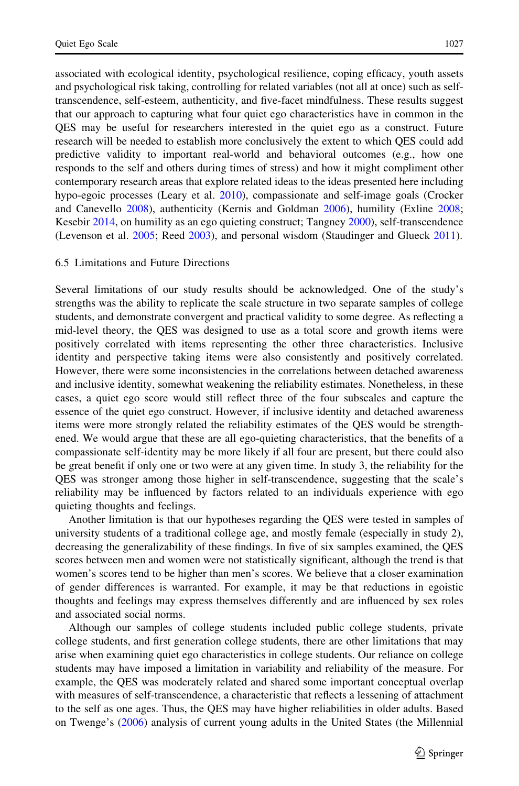associated with ecological identity, psychological resilience, coping efficacy, youth assets and psychological risk taking, controlling for related variables (not all at once) such as selftranscendence, self-esteem, authenticity, and five-facet mindfulness. These results suggest that our approach to capturing what four quiet ego characteristics have in common in the QES may be useful for researchers interested in the quiet ego as a construct. Future research will be needed to establish more conclusively the extent to which QES could add predictive validity to important real-world and behavioral outcomes (e.g., how one responds to the self and others during times of stress) and how it might compliment other contemporary research areas that explore related ideas to the ideas presented here including hypo-egoic processes (Leary et al. [2010\)](#page-32-0), compassionate and self-image goals (Crocker and Canevello [2008](#page-31-0)), authenticity (Kernis and Goldman [2006](#page-32-0)), humility (Exline [2008;](#page-31-0) Kesebir [2014,](#page-32-0) on humility as an ego quieting construct; Tangney [2000](#page-33-0)), self-transcendence (Levenson et al. [2005](#page-32-0); Reed [2003\)](#page-33-0), and personal wisdom (Staudinger and Glueck [2011](#page-33-0)).

### 6.5 Limitations and Future Directions

Several limitations of our study results should be acknowledged. One of the study's strengths was the ability to replicate the scale structure in two separate samples of college students, and demonstrate convergent and practical validity to some degree. As reflecting a mid-level theory, the QES was designed to use as a total score and growth items were positively correlated with items representing the other three characteristics. Inclusive identity and perspective taking items were also consistently and positively correlated. However, there were some inconsistencies in the correlations between detached awareness and inclusive identity, somewhat weakening the reliability estimates. Nonetheless, in these cases, a quiet ego score would still reflect three of the four subscales and capture the essence of the quiet ego construct. However, if inclusive identity and detached awareness items were more strongly related the reliability estimates of the QES would be strengthened. We would argue that these are all ego-quieting characteristics, that the benefits of a compassionate self-identity may be more likely if all four are present, but there could also be great benefit if only one or two were at any given time. In study 3, the reliability for the QES was stronger among those higher in self-transcendence, suggesting that the scale's reliability may be influenced by factors related to an individuals experience with ego quieting thoughts and feelings.

Another limitation is that our hypotheses regarding the QES were tested in samples of university students of a traditional college age, and mostly female (especially in study 2), decreasing the generalizability of these findings. In five of six samples examined, the QES scores between men and women were not statistically significant, although the trend is that women's scores tend to be higher than men's scores. We believe that a closer examination of gender differences is warranted. For example, it may be that reductions in egoistic thoughts and feelings may express themselves differently and are influenced by sex roles and associated social norms.

Although our samples of college students included public college students, private college students, and first generation college students, there are other limitations that may arise when examining quiet ego characteristics in college students. Our reliance on college students may have imposed a limitation in variability and reliability of the measure. For example, the QES was moderately related and shared some important conceptual overlap with measures of self-transcendence, a characteristic that reflects a lessening of attachment to the self as one ages. Thus, the QES may have higher reliabilities in older adults. Based on Twenge's ([2006\)](#page-33-0) analysis of current young adults in the United States (the Millennial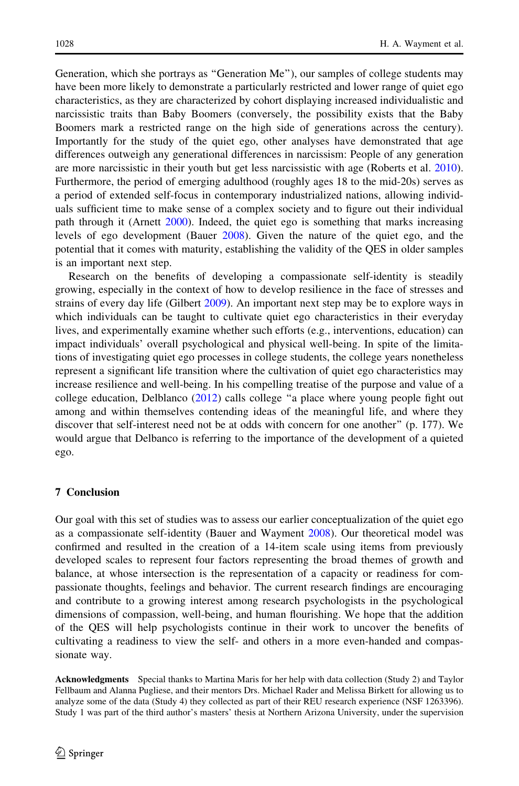Generation, which she portrays as "Generation Me"), our samples of college students may have been more likely to demonstrate a particularly restricted and lower range of quiet ego characteristics, as they are characterized by cohort displaying increased individualistic and narcissistic traits than Baby Boomers (conversely, the possibility exists that the Baby Boomers mark a restricted range on the high side of generations across the century). Importantly for the study of the quiet ego, other analyses have demonstrated that age differences outweigh any generational differences in narcissism: People of any generation are more narcissistic in their youth but get less narcissistic with age (Roberts et al. [2010](#page-33-0)). Furthermore, the period of emerging adulthood (roughly ages 18 to the mid-20s) serves as a period of extended self-focus in contemporary industrialized nations, allowing individuals sufficient time to make sense of a complex society and to figure out their individual path through it (Arnett [2000](#page-30-0)). Indeed, the quiet ego is something that marks increasing levels of ego development (Bauer [2008](#page-30-0)). Given the nature of the quiet ego, and the potential that it comes with maturity, establishing the validity of the QES in older samples is an important next step.

Research on the benefits of developing a compassionate self-identity is steadily growing, especially in the context of how to develop resilience in the face of stresses and strains of every day life (Gilbert [2009](#page-32-0)). An important next step may be to explore ways in which individuals can be taught to cultivate quiet ego characteristics in their everyday lives, and experimentally examine whether such efforts (e.g., interventions, education) can impact individuals' overall psychological and physical well-being. In spite of the limitations of investigating quiet ego processes in college students, the college years nonetheless represent a significant life transition where the cultivation of quiet ego characteristics may increase resilience and well-being. In his compelling treatise of the purpose and value of a college education, Delblanco [\(2012](#page-31-0)) calls college "a place where young people fight out among and within themselves contending ideas of the meaningful life, and where they discover that self-interest need not be at odds with concern for one another'' (p. 177). We would argue that Delbanco is referring to the importance of the development of a quieted ego.

#### 7 Conclusion

Our goal with this set of studies was to assess our earlier conceptualization of the quiet ego as a compassionate self-identity (Bauer and Wayment [2008](#page-31-0)). Our theoretical model was confirmed and resulted in the creation of a 14-item scale using items from previously developed scales to represent four factors representing the broad themes of growth and balance, at whose intersection is the representation of a capacity or readiness for compassionate thoughts, feelings and behavior. The current research findings are encouraging and contribute to a growing interest among research psychologists in the psychological dimensions of compassion, well-being, and human flourishing. We hope that the addition of the QES will help psychologists continue in their work to uncover the benefits of cultivating a readiness to view the self- and others in a more even-handed and compassionate way.

Acknowledgments Special thanks to Martina Maris for her help with data collection (Study 2) and Taylor Fellbaum and Alanna Pugliese, and their mentors Drs. Michael Rader and Melissa Birkett for allowing us to analyze some of the data (Study 4) they collected as part of their REU research experience (NSF 1263396). Study 1 was part of the third author's masters' thesis at Northern Arizona University, under the supervision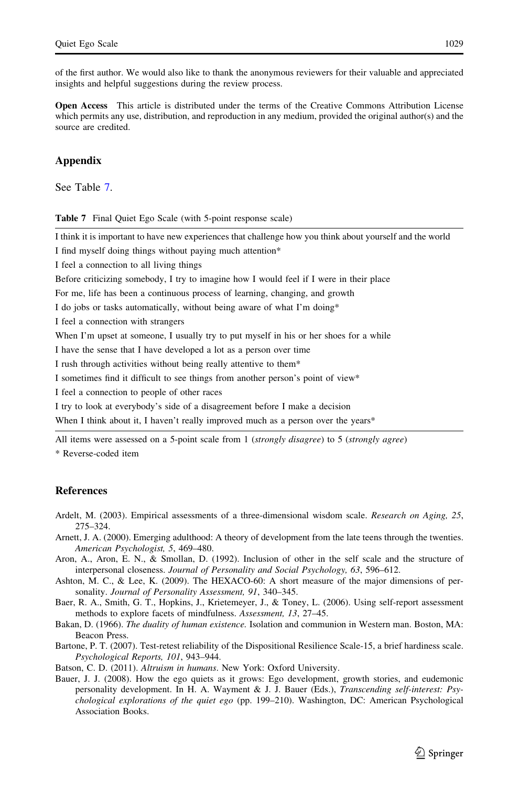<span id="page-30-0"></span>of the first author. We would also like to thank the anonymous reviewers for their valuable and appreciated insights and helpful suggestions during the review process.

Open Access This article is distributed under the terms of the Creative Commons Attribution License which permits any use, distribution, and reproduction in any medium, provided the original author(s) and the source are credited.

### Appendix

See Table 7.

Table 7 Final Quiet Ego Scale (with 5-point response scale)

I think it is important to have new experiences that challenge how you think about yourself and the world

I find myself doing things without paying much attention\*

I feel a connection to all living things

Before criticizing somebody, I try to imagine how I would feel if I were in their place

For me, life has been a continuous process of learning, changing, and growth

I do jobs or tasks automatically, without being aware of what I'm doing\*

I feel a connection with strangers

When I'm upset at someone, I usually try to put myself in his or her shoes for a while

I have the sense that I have developed a lot as a person over time

I rush through activities without being really attentive to them\*

I sometimes find it difficult to see things from another person's point of view\*

I feel a connection to people of other races

I try to look at everybody's side of a disagreement before I make a decision

When I think about it, I haven't really improved much as a person over the years\*

All items were assessed on a 5-point scale from 1 (strongly disagree) to 5 (strongly agree)

\* Reverse-coded item

### **References**

- Ardelt, M. (2003). Empirical assessments of a three-dimensional wisdom scale. Research on Aging, 25, 275–324.
- Arnett, J. A. (2000). Emerging adulthood: A theory of development from the late teens through the twenties. American Psychologist, 5, 469–480.
- Aron, A., Aron, E. N., & Smollan, D. (1992). Inclusion of other in the self scale and the structure of interpersonal closeness. Journal of Personality and Social Psychology, 63, 596–612.
- Ashton, M. C., & Lee, K. (2009). The HEXACO-60: A short measure of the major dimensions of personality. Journal of Personality Assessment, 91, 340–345.
- Baer, R. A., Smith, G. T., Hopkins, J., Krietemeyer, J., & Toney, L. (2006). Using self-report assessment methods to explore facets of mindfulness. Assessment, 13, 27–45.
- Bakan, D. (1966). The duality of human existence. Isolation and communion in Western man. Boston, MA: Beacon Press.
- Bartone, P. T. (2007). Test-retest reliability of the Dispositional Resilience Scale-15, a brief hardiness scale. Psychological Reports, 101, 943–944.
- Batson, C. D. (2011). Altruism in humans. New York: Oxford University.
- Bauer, J. J. (2008). How the ego quiets as it grows: Ego development, growth stories, and eudemonic personality development. In H. A. Wayment & J. J. Bauer (Eds.), Transcending self-interest: Psychological explorations of the quiet ego (pp. 199-210). Washington, DC: American Psychological Association Books.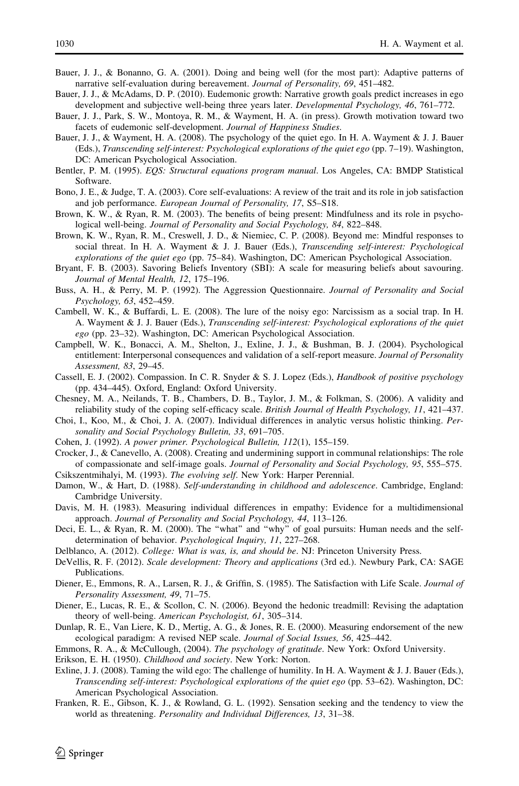- <span id="page-31-0"></span>Bauer, J. J., & Bonanno, G. A. (2001). Doing and being well (for the most part): Adaptive patterns of narrative self-evaluation during bereavement. Journal of Personality, 69, 451–482.
- Bauer, J. J., & McAdams, D. P. (2010). Eudemonic growth: Narrative growth goals predict increases in ego development and subjective well-being three years later. *Developmental Psychology*, 46, 761–772.
- Bauer, J. J., Park, S. W., Montoya, R. M., & Wayment, H. A. (in press). Growth motivation toward two facets of eudemonic self-development. Journal of Happiness Studies.
- Bauer, J. J., & Wayment, H. A. (2008). The psychology of the quiet ego. In H. A. Wayment & J. J. Bauer (Eds.), Transcending self-interest: Psychological explorations of the quiet ego (pp. 7–19). Washington, DC: American Psychological Association.
- Bentler, P. M. (1995). EQS: Structural equations program manual. Los Angeles, CA: BMDP Statistical Software.
- Bono, J. E., & Judge, T. A. (2003). Core self-evaluations: A review of the trait and its role in job satisfaction and job performance. European Journal of Personality, 17, S5–S18.
- Brown, K. W., & Ryan, R. M. (2003). The benefits of being present: Mindfulness and its role in psychological well-being. Journal of Personality and Social Psychology, 84, 822–848.
- Brown, K. W., Ryan, R. M., Creswell, J. D., & Niemiec, C. P. (2008). Beyond me: Mindful responses to social threat. In H. A. Wayment & J. J. Bauer (Eds.), Transcending self-interest: Psychological explorations of the quiet ego (pp. 75–84). Washington, DC: American Psychological Association.
- Bryant, F. B. (2003). Savoring Beliefs Inventory (SBI): A scale for measuring beliefs about savouring. Journal of Mental Health, 12, 175–196.
- Buss, A. H., & Perry, M. P. (1992). The Aggression Questionnaire. Journal of Personality and Social Psychology, 63, 452–459.
- Cambell, W. K., & Buffardi, L. E. (2008). The lure of the noisy ego: Narcissism as a social trap. In H. A. Wayment & J. J. Bauer (Eds.), Transcending self-interest: Psychological explorations of the quiet ego (pp. 23–32). Washington, DC: American Psychological Association.
- Campbell, W. K., Bonacci, A. M., Shelton, J., Exline, J. J., & Bushman, B. J. (2004). Psychological entitlement: Interpersonal consequences and validation of a self-report measure. Journal of Personality Assessment, 83, 29–45.
- Cassell, E. J. (2002). Compassion. In C. R. Snyder & S. J. Lopez (Eds.), Handbook of positive psychology (pp. 434–445). Oxford, England: Oxford University.
- Chesney, M. A., Neilands, T. B., Chambers, D. B., Taylor, J. M., & Folkman, S. (2006). A validity and reliability study of the coping self-efficacy scale. British Journal of Health Psychology, 11, 421–437.
- Choi, I., Koo, M., & Choi, J. A. (2007). Individual differences in analytic versus holistic thinking. Personality and Social Psychology Bulletin, 33, 691–705.
- Cohen, J. (1992). A power primer. Psychological Bulletin, 112(1), 155–159.
- Crocker, J., & Canevello, A. (2008). Creating and undermining support in communal relationships: The role of compassionate and self-image goals. Journal of Personality and Social Psychology, 95, 555–575.
- Csikszentmihalyi, M. (1993). The evolving self. New York: Harper Perennial.
- Damon, W., & Hart, D. (1988). Self-understanding in childhood and adolescence. Cambridge, England: Cambridge University.
- Davis, M. H. (1983). Measuring individual differences in empathy: Evidence for a multidimensional approach. Journal of Personality and Social Psychology, 44, 113–126.
- Deci, E. L., & Ryan, R. M. (2000). The ''what'' and ''why'' of goal pursuits: Human needs and the selfdetermination of behavior. Psychological Inquiry, 11, 227–268.
- Delblanco, A. (2012). *College: What is was, is, and should be.* NJ: Princeton University Press.
- DeVellis, R. F. (2012). Scale development: Theory and applications (3rd ed.). Newbury Park, CA: SAGE Publications.
- Diener, E., Emmons, R. A., Larsen, R. J., & Griffin, S. (1985). The Satisfaction with Life Scale. *Journal of* Personality Assessment, 49, 71–75.
- Diener, E., Lucas, R. E., & Scollon, C. N. (2006). Beyond the hedonic treadmill: Revising the adaptation theory of well-being. American Psychologist, 61, 305–314.
- Dunlap, R. E., Van Liere, K. D., Mertig, A. G., & Jones, R. E. (2000). Measuring endorsement of the new ecological paradigm: A revised NEP scale. Journal of Social Issues, 56, 425–442.
- Emmons, R. A., & McCullough, (2004). The psychology of gratitude. New York: Oxford University.
- Erikson, E. H. (1950). Childhood and society. New York: Norton.
- Exline, J. J. (2008). Taming the wild ego: The challenge of humility. In H. A. Wayment & J. J. Bauer (Eds.), Transcending self-interest: Psychological explorations of the quiet ego (pp. 53–62). Washington, DC: American Psychological Association.
- Franken, R. E., Gibson, K. J., & Rowland, G. L. (1992). Sensation seeking and the tendency to view the world as threatening. Personality and Individual Differences, 13, 31–38.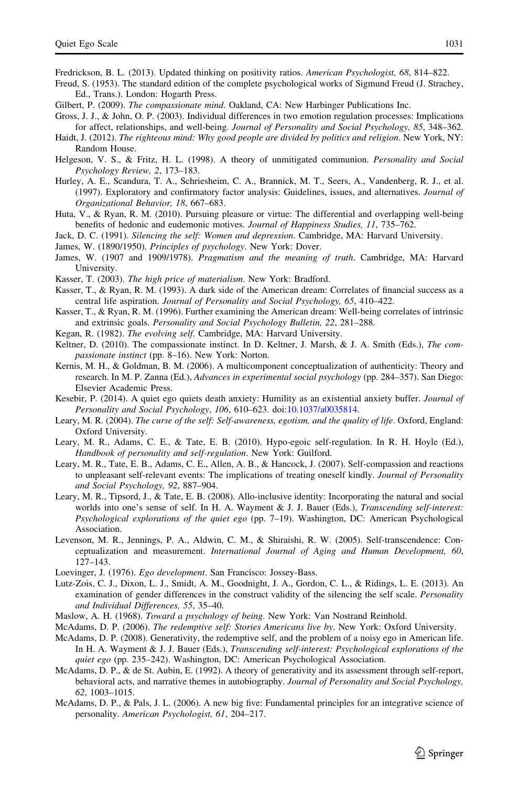<span id="page-32-0"></span>Fredrickson, B. L. (2013). Updated thinking on positivity ratios. American Psychologist, 68, 814–822.

Freud, S. (1953). The standard edition of the complete psychological works of Sigmund Freud (J. Strachey, Ed., Trans.). London: Hogarth Press.

- Gilbert, P. (2009). The compassionate mind. Oakland, CA: New Harbinger Publications Inc.
- Gross, J. J., & John, O. P. (2003). Individual differences in two emotion regulation processes: Implications for affect, relationships, and well-being. Journal of Personality and Social Psychology, 85, 348–362.
- Haidt, J. (2012). The righteous mind: Why good people are divided by politics and religion. New York, NY: Random House.
- Helgeson, V. S., & Fritz, H. L. (1998). A theory of unmitigated communion. Personality and Social Psychology Review, 2, 173–183.
- Hurley, A. E., Scandura, T. A., Schriesheim, C. A., Brannick, M. T., Seers, A., Vandenberg, R. J., et al. (1997). Exploratory and confirmatory factor analysis: Guidelines, issues, and alternatives. Journal of Organizational Behavior, 18, 667–683.
- Huta, V., & Ryan, R. M. (2010). Pursuing pleasure or virtue: The differential and overlapping well-being benefits of hedonic and eudemonic motives. Journal of Happiness Studies, 11, 735–762.

Jack, D. C. (1991). Silencing the self: Women and depression. Cambridge, MA: Harvard University.

James, W. (1890/1950). Principles of psychology. New York: Dover.

- James, W. (1907 and 1909/1978). Pragmatism and the meaning of truth. Cambridge, MA: Harvard University.
- Kasser, T. (2003). The high price of materialism. New York: Bradford.
- Kasser, T., & Ryan, R. M. (1993). A dark side of the American dream: Correlates of financial success as a central life aspiration. Journal of Personality and Social Psychology, 65, 410–422.
- Kasser, T., & Ryan, R. M. (1996). Further examining the American dream: Well-being correlates of intrinsic and extrinsic goals. Personality and Social Psychology Bulletin, 22, 281–288.
- Kegan, R. (1982). The evolving self. Cambridge, MA: Harvard University.
- Keltner, D. (2010). The compassionate instinct. In D. Keltner, J. Marsh, & J. A. Smith (Eds.), The compassionate instinct (pp. 8–16). New York: Norton.
- Kernis, M. H., & Goldman, B. M. (2006). A multicomponent conceptualization of authenticity: Theory and research. In M. P. Zanna (Ed.), Advances in experimental social psychology (pp. 284–357). San Diego: Elsevier Academic Press.
- Kesebir, P. (2014). A quiet ego quiets death anxiety: Humility as an existential anxiety buffer. Journal of Personality and Social Psychology, 106, 610–623. doi[:10.1037/a0035814.](http://dx.doi.org/10.1037/a0035814)
- Leary, M. R. (2004). The curse of the self: Self-awareness, egotism, and the quality of life. Oxford, England: Oxford University.
- Leary, M. R., Adams, C. E., & Tate, E. B. (2010). Hypo-egoic self-regulation. In R. H. Hoyle (Ed.), Handbook of personality and self-regulation. New York: Guilford.
- Leary, M. R., Tate, E. B., Adams, C. E., Allen, A. B., & Hancock, J. (2007). Self-compassion and reactions to unpleasant self-relevant events: The implications of treating oneself kindly. Journal of Personality and Social Psychology, 92, 887–904.
- Leary, M. R., Tipsord, J., & Tate, E. B. (2008). Allo-inclusive identity: Incorporating the natural and social worlds into one's sense of self. In H. A. Wayment & J. J. Bauer (Eds.), Transcending self-interest: Psychological explorations of the quiet ego (pp. 7–19). Washington, DC: American Psychological Association.
- Levenson, M. R., Jennings, P. A., Aldwin, C. M., & Shiraishi, R. W. (2005). Self-transcendence: Conceptualization and measurement. International Journal of Aging and Human Development, 60, 127–143.
- Loevinger, J. (1976). Ego development. San Francisco: Jossey-Bass.
- Lutz-Zois, C. J., Dixon, L. J., Smidt, A. M., Goodnight, J. A., Gordon, C. L., & Ridings, L. E. (2013). An examination of gender differences in the construct validity of the silencing the self scale. Personality and Individual Differences, 55, 35–40.
- Maslow, A. H. (1968). Toward a psychology of being. New York: Van Nostrand Reinhold.
- McAdams, D. P. (2006). The redemptive self: Stories Americans live by. New York: Oxford University.
- McAdams, D. P. (2008). Generativity, the redemptive self, and the problem of a noisy ego in American life. In H. A. Wayment & J. J. Bauer (Eds.), Transcending self-interest: Psychological explorations of the quiet ego (pp. 235–242). Washington, DC: American Psychological Association.
- McAdams, D. P., & de St. Aubin, E. (1992). A theory of generativity and its assessment through self-report, behavioral acts, and narrative themes in autobiography. Journal of Personality and Social Psychology, 62, 1003–1015.
- McAdams, D. P., & Pals, J. L. (2006). A new big five: Fundamental principles for an integrative science of personality. American Psychologist, 61, 204–217.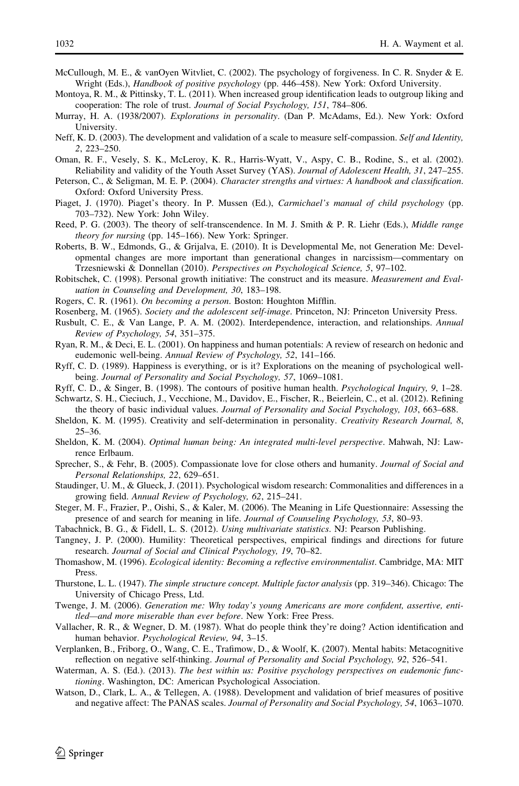- <span id="page-33-0"></span>McCullough, M. E., & vanOyen Witvliet, C. (2002). The psychology of forgiveness. In C. R. Snyder & E. Wright (Eds.), Handbook of positive psychology (pp. 446–458). New York: Oxford University.
- Montoya, R. M., & Pittinsky, T. L. (2011). When increased group identification leads to outgroup liking and cooperation: The role of trust. Journal of Social Psychology, 151, 784–806.
- Murray, H. A. (1938/2007). Explorations in personality. (Dan P. McAdams, Ed.). New York: Oxford University.
- Neff, K. D. (2003). The development and validation of a scale to measure self-compassion. Self and Identity, 2, 223–250.
- Oman, R. F., Vesely, S. K., McLeroy, K. R., Harris-Wyatt, V., Aspy, C. B., Rodine, S., et al. (2002). Reliability and validity of the Youth Asset Survey (YAS). Journal of Adolescent Health, 31, 247–255.
- Peterson, C., & Seligman, M. E. P. (2004). Character strengths and virtues: A handbook and classification. Oxford: Oxford University Press.
- Piaget, J. (1970). Piaget's theory. In P. Mussen (Ed.), *Carmichael's manual of child psychology* (pp. 703–732). New York: John Wiley.
- Reed, P. G. (2003). The theory of self-transcendence. In M. J. Smith & P. R. Liehr (Eds.), Middle range theory for nursing (pp. 145–166). New York: Springer.
- Roberts, B. W., Edmonds, G., & Grijalva, E. (2010). It is Developmental Me, not Generation Me: Developmental changes are more important than generational changes in narcissism—commentary on Trzesniewski & Donnellan (2010). Perspectives on Psychological Science, 5, 97–102.
- Robitschek, C. (1998). Personal growth initiative: The construct and its measure. *Measurement and Eval*uation in Counseling and Development, 30, 183–198.
- Rogers, C. R. (1961). On becoming a person. Boston: Houghton Mifflin.
- Rosenberg, M. (1965). Society and the adolescent self-image. Princeton, NJ: Princeton University Press.
- Rusbult, C. E., & Van Lange, P. A. M. (2002). Interdependence, interaction, and relationships. Annual Review of Psychology, 54, 351–375.
- Ryan, R. M., & Deci, E. L. (2001). On happiness and human potentials: A review of research on hedonic and eudemonic well-being. Annual Review of Psychology, 52, 141–166.
- Ryff, C. D. (1989). Happiness is everything, or is it? Explorations on the meaning of psychological wellbeing. Journal of Personality and Social Psychology, 57, 1069–1081.
- Ryff, C. D., & Singer, B. (1998). The contours of positive human health. Psychological Inquiry, 9, 1–28. Schwartz, S. H., Cieciuch, J., Vecchione, M., Davidov, E., Fischer, R., Beierlein, C., et al. (2012). Refining
- the theory of basic individual values. Journal of Personality and Social Psychology, 103, 663–688.
- Sheldon, K. M. (1995). Creativity and self-determination in personality. Creativity Research Journal, 8, 25–36.
- Sheldon, K. M. (2004). Optimal human being: An integrated multi-level perspective. Mahwah, NJ: Lawrence Erlbaum.
- Sprecher, S., & Fehr, B. (2005). Compassionate love for close others and humanity. Journal of Social and Personal Relationships, 22, 629–651.
- Staudinger, U. M., & Glueck, J. (2011). Psychological wisdom research: Commonalities and differences in a growing field. Annual Review of Psychology, 62, 215–241.
- Steger, M. F., Frazier, P., Oishi, S., & Kaler, M. (2006). The Meaning in Life Questionnaire: Assessing the presence of and search for meaning in life. Journal of Counseling Psychology, 53, 80–93.
- Tabachnick, B. G., & Fidell, L. S. (2012). Using multivariate statistics. NJ: Pearson Publishing.
- Tangney, J. P. (2000). Humility: Theoretical perspectives, empirical findings and directions for future research. Journal of Social and Clinical Psychology, 19, 70–82.
- Thomashow, M. (1996). Ecological identity: Becoming a reflective environmentalist. Cambridge, MA: MIT Press.
- Thurstone, L. L. (1947). The simple structure concept. Multiple factor analysis (pp. 319–346). Chicago: The University of Chicago Press, Ltd.
- Twenge, J. M. (2006). Generation me: Why today's young Americans are more confident, assertive, entitled—and more miserable than ever before. New York: Free Press.
- Vallacher, R. R., & Wegner, D. M. (1987). What do people think they're doing? Action identification and human behavior. Psychological Review, 94, 3–15.
- Verplanken, B., Friborg, O., Wang, C. E., Trafimow, D., & Woolf, K. (2007). Mental habits: Metacognitive reflection on negative self-thinking. Journal of Personality and Social Psychology, 92, 526–541.
- Waterman, A. S. (Ed.). (2013). The best within us: Positive psychology perspectives on eudemonic functioning. Washington, DC: American Psychological Association.
- Watson, D., Clark, L. A., & Tellegen, A. (1988). Development and validation of brief measures of positive and negative affect: The PANAS scales. Journal of Personality and Social Psychology, 54, 1063–1070.